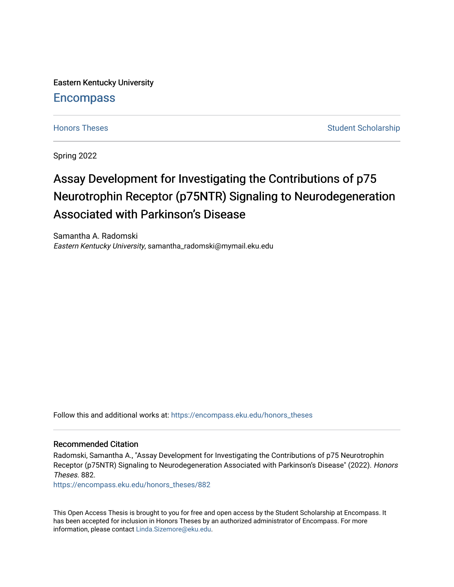Eastern Kentucky University

# **Encompass**

[Honors Theses](https://encompass.eku.edu/honors_theses) [Student Scholarship](https://encompass.eku.edu/ss) Student Scholarship Student Scholarship

Spring 2022

# Assay Development for Investigating the Contributions of p75 Neurotrophin Receptor (p75NTR) Signaling to Neurodegeneration Associated with Parkinson's Disease

Samantha A. Radomski Eastern Kentucky University, samantha\_radomski@mymail.eku.edu

Follow this and additional works at: [https://encompass.eku.edu/honors\\_theses](https://encompass.eku.edu/honors_theses?utm_source=encompass.eku.edu%2Fhonors_theses%2F882&utm_medium=PDF&utm_campaign=PDFCoverPages) 

### Recommended Citation

Radomski, Samantha A., "Assay Development for Investigating the Contributions of p75 Neurotrophin Receptor (p75NTR) Signaling to Neurodegeneration Associated with Parkinson's Disease" (2022). Honors Theses. 882.

[https://encompass.eku.edu/honors\\_theses/882](https://encompass.eku.edu/honors_theses/882?utm_source=encompass.eku.edu%2Fhonors_theses%2F882&utm_medium=PDF&utm_campaign=PDFCoverPages) 

This Open Access Thesis is brought to you for free and open access by the Student Scholarship at Encompass. It has been accepted for inclusion in Honors Theses by an authorized administrator of Encompass. For more information, please contact [Linda.Sizemore@eku.edu.](mailto:Linda.Sizemore@eku.edu)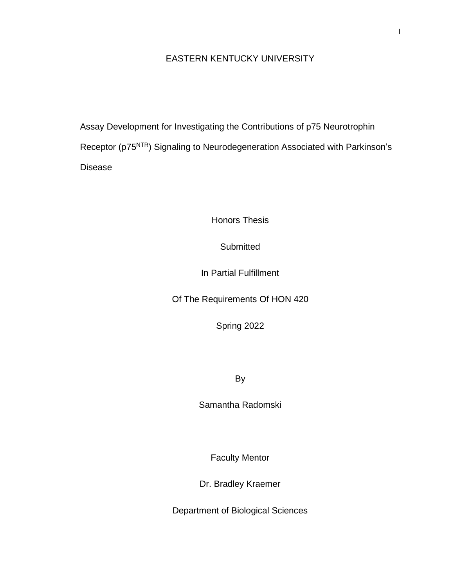# EASTERN KENTUCKY UNIVERSITY

Assay Development for Investigating the Contributions of p75 Neurotrophin Receptor (p75NTR) Signaling to Neurodegeneration Associated with Parkinson's Disease

Honors Thesis

**Submitted** 

In Partial Fulfillment

Of The Requirements Of HON 420

Spring 2022

By

Samantha Radomski

Faculty Mentor

Dr. Bradley Kraemer

Department of Biological Sciences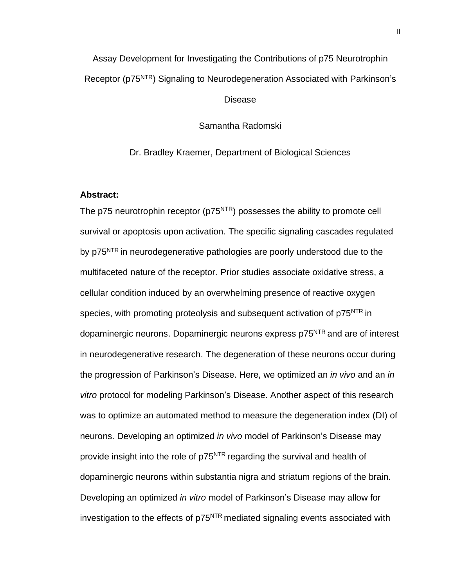# Assay Development for Investigating the Contributions of p75 Neurotrophin Receptor (p75NTR) Signaling to Neurodegeneration Associated with Parkinson's

Disease

Samantha Radomski

Dr. Bradley Kraemer, Department of Biological Sciences

# <span id="page-2-0"></span>**Abstract:**

The p75 neurotrophin receptor (p75<sup>NTR</sup>) possesses the ability to promote cell survival or apoptosis upon activation. The specific signaling cascades regulated by p75<sup>NTR</sup> in neurodegenerative pathologies are poorly understood due to the multifaceted nature of the receptor. Prior studies associate oxidative stress, a cellular condition induced by an overwhelming presence of reactive oxygen species, with promoting proteolysis and subsequent activation of p75<sup>NTR</sup> in dopaminergic neurons. Dopaminergic neurons express p75<sup>NTR</sup> and are of interest in neurodegenerative research. The degeneration of these neurons occur during the progression of Parkinson's Disease. Here, we optimized an *in vivo* and an *in vitro* protocol for modeling Parkinson's Disease. Another aspect of this research was to optimize an automated method to measure the degeneration index (DI) of neurons. Developing an optimized *in vivo* model of Parkinson's Disease may provide insight into the role of p75<sup>NTR</sup> regarding the survival and health of dopaminergic neurons within substantia nigra and striatum regions of the brain. Developing an optimized *in vitro* model of Parkinson's Disease may allow for investigation to the effects of p75<sup>NTR</sup> mediated signaling events associated with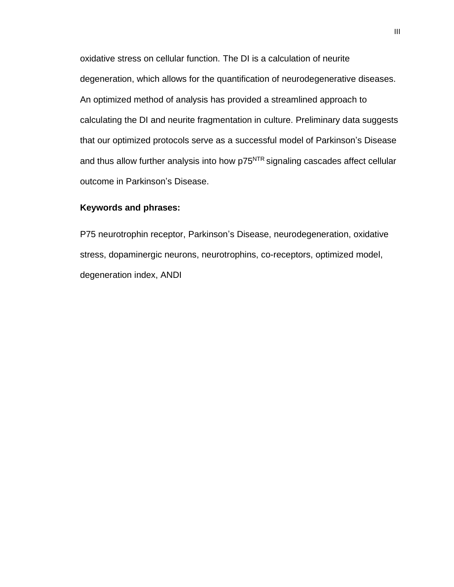oxidative stress on cellular function. The DI is a calculation of neurite degeneration, which allows for the quantification of neurodegenerative diseases. An optimized method of analysis has provided a streamlined approach to calculating the DI and neurite fragmentation in culture. Preliminary data suggests that our optimized protocols serve as a successful model of Parkinson's Disease and thus allow further analysis into how p75<sup>NTR</sup> signaling cascades affect cellular outcome in Parkinson's Disease.

# <span id="page-3-0"></span>**Keywords and phrases:**

P75 neurotrophin receptor, Parkinson's Disease, neurodegeneration, oxidative stress, dopaminergic neurons, neurotrophins, co-receptors, optimized model, degeneration index, ANDI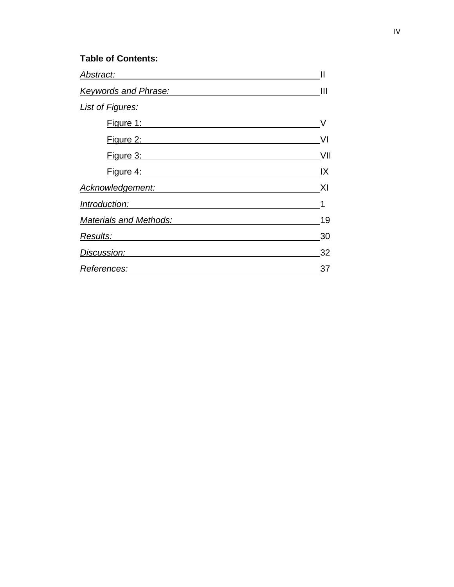# **Table of Contents:**

<span id="page-4-0"></span>

| Abstract:                   | $\mathsf{II}$ |
|-----------------------------|---------------|
| <b>Keywords and Phrase:</b> | Ш             |
| List of Figures:            |               |
| Figure 1:                   |               |
| Figure 2:                   | VI            |
| Figure 3:                   | VII           |
| Figure 4:                   | IX            |
| Acknowledgement:            | XI            |
| Introduction:               | 1             |
| Materials and Methods:      | 19            |
| Results:                    | 30            |
| Discussion:                 | 32            |
| References:                 | 37            |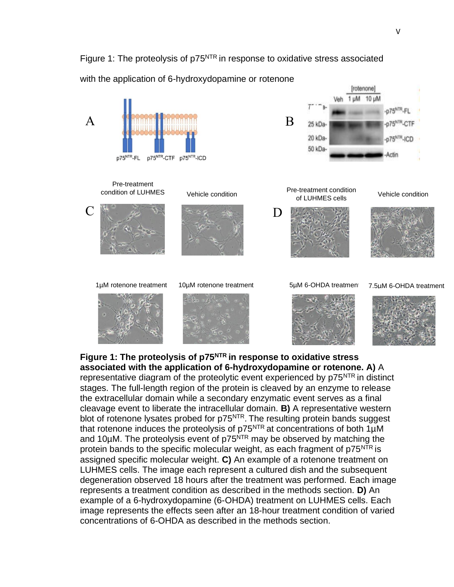# <span id="page-5-0"></span>Figure 1: The proteolysis of p75<sup>NTR</sup> in response to oxidative stress associated

with the application of 6-hydroxydopamine or rotenone



**Figure 1: The proteolysis of p75NTR in response to oxidative stress associated with the application of 6-hydroxydopamine or rotenone. A)** A representative diagram of the proteolytic event experienced by p75<sup>NTR</sup> in distinct stages. The full-length region of the protein is cleaved by an enzyme to release the extracellular domain while a secondary enzymatic event serves as a final cleavage event to liberate the intracellular domain. **B)** A representative western blot of rotenone lysates probed for p75<sup>NTR</sup>. The resulting protein bands suggest that rotenone induces the proteolysis of  $p75<sup>NTR</sup>$  at concentrations of both 1 $\mu$ M and 10 $\mu$ M. The proteolysis event of p75 $\overline{N}$ TR may be observed by matching the protein bands to the specific molecular weight, as each fragment of p75<sup>NTR</sup> is assigned specific molecular weight. **C)** An example of a rotenone treatment on LUHMES cells. The image each represent a cultured dish and the subsequent degeneration observed 18 hours after the treatment was performed. Each image represents a treatment condition as described in the methods section. **D)** An example of a 6-hydroxydopamine (6-OHDA) treatment on LUHMES cells. Each image represents the effects seen after an 18-hour treatment condition of varied concentrations of 6-OHDA as described in the methods section.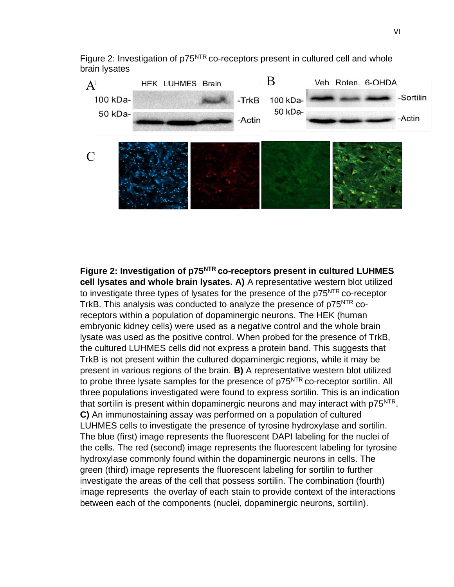<span id="page-6-0"></span>Figure 2: Investigation of p75<sup>NTR</sup> co-receptors present in cultured cell and whole brain lysates



**Figure 2: Investigation of p75NTR co-receptors present in cultured LUHMES cell lysates and whole brain lysates. A)** A representative western blot utilized to investigate three types of lysates for the presence of the p75<sup>NTR</sup> co-receptor TrkB. This analysis was conducted to analyze the presence of p75<sup>NTR</sup> coreceptors within a population of dopaminergic neurons. The HEK (human embryonic kidney cells) were used as a negative control and the whole brain lysate was used as the positive control. When probed for the presence of TrkB, the cultured LUHMES cells did not express a protein band. This suggests that TrkB is not present within the cultured dopaminergic regions, while it may be present in various regions of the brain. **B)** A representative western blot utilized to probe three lysate samples for the presence of p75<sup>NTR</sup> co-receptor sortilin. All three populations investigated were found to express sortilin. This is an indication that sortilin is present within dopaminergic neurons and may interact with p75<sup>NTR</sup>. **C)** An immunostaining assay was performed on a population of cultured LUHMES cells to investigate the presence of tyrosine hydroxylase and sortilin. The blue (first) image represents the fluorescent DAPI labeling for the nuclei of the cells. The red (second) image represents the fluorescent labeling for tyrosine hydroxylase commonly found within the dopaminergic neurons in cells. The green (third) image represents the fluorescent labeling for sortilin to further investigate the areas of the cell that possess sortilin. The combination (fourth) image represents the overlay of each stain to provide context of the interactions between each of the components (nuclei, dopaminergic neurons, sortilin).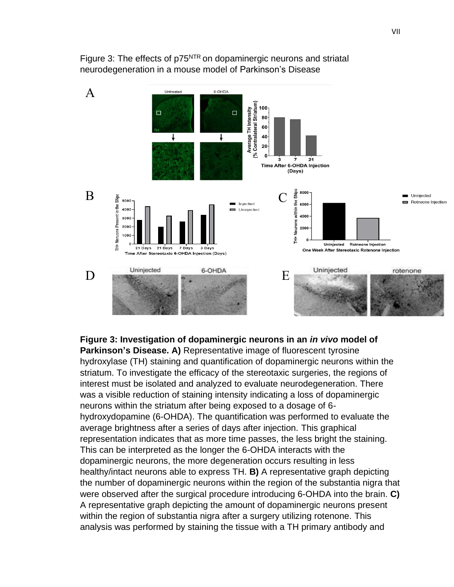

<span id="page-7-0"></span>Figure 3: The effects of p75<sup>NTR</sup> on dopaminergic neurons and striatal neurodegeneration in a mouse model of Parkinson's Disease

**Figure 3: Investigation of dopaminergic neurons in an** *in vivo* **model of Parkinson's Disease. A)** Representative image of fluorescent tyrosine hydroxylase (TH) staining and quantification of dopaminergic neurons within the striatum. To investigate the efficacy of the stereotaxic surgeries, the regions of interest must be isolated and analyzed to evaluate neurodegeneration. There was a visible reduction of staining intensity indicating a loss of dopaminergic neurons within the striatum after being exposed to a dosage of 6 hydroxydopamine (6-OHDA). The quantification was performed to evaluate the average brightness after a series of days after injection. This graphical representation indicates that as more time passes, the less bright the staining. This can be interpreted as the longer the 6-OHDA interacts with the dopaminergic neurons, the more degeneration occurs resulting in less healthy/intact neurons able to express TH. **B)** A representative graph depicting the number of dopaminergic neurons within the region of the substantia nigra that were observed after the surgical procedure introducing 6-OHDA into the brain. **C)**  A representative graph depicting the amount of dopaminergic neurons present within the region of substantia nigra after a surgery utilizing rotenone. This analysis was performed by staining the tissue with a TH primary antibody and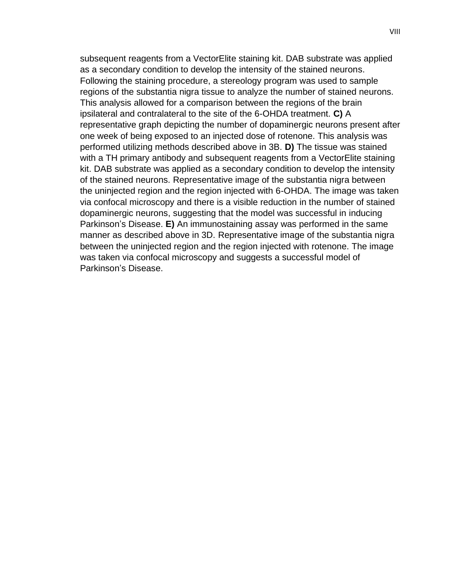subsequent reagents from a VectorElite staining kit. DAB substrate was applied as a secondary condition to develop the intensity of the stained neurons. Following the staining procedure, a stereology program was used to sample regions of the substantia nigra tissue to analyze the number of stained neurons. This analysis allowed for a comparison between the regions of the brain ipsilateral and contralateral to the site of the 6-OHDA treatment. **C)** A representative graph depicting the number of dopaminergic neurons present after one week of being exposed to an injected dose of rotenone. This analysis was performed utilizing methods described above in 3B. **D)** The tissue was stained with a TH primary antibody and subsequent reagents from a VectorElite staining kit. DAB substrate was applied as a secondary condition to develop the intensity of the stained neurons. Representative image of the substantia nigra between the uninjected region and the region injected with 6-OHDA. The image was taken via confocal microscopy and there is a visible reduction in the number of stained dopaminergic neurons, suggesting that the model was successful in inducing Parkinson's Disease. **E)** An immunostaining assay was performed in the same manner as described above in 3D. Representative image of the substantia nigra between the uninjected region and the region injected with rotenone. The image was taken via confocal microscopy and suggests a successful model of Parkinson's Disease.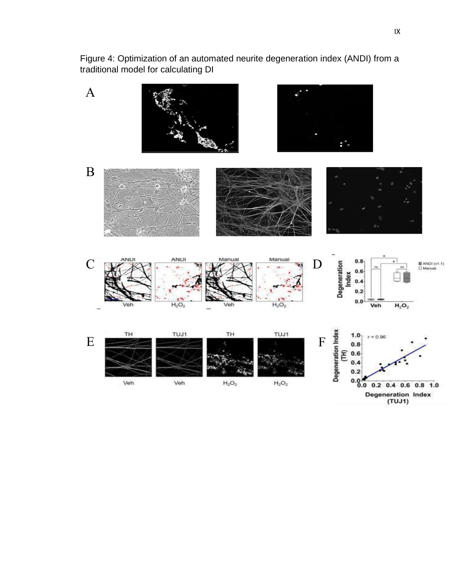<span id="page-9-0"></span>Figure 4: Optimization of an automated neurite degeneration index (ANDI) from a traditional model for calculating DI



**Degeneration Index**  $(TUJ1)$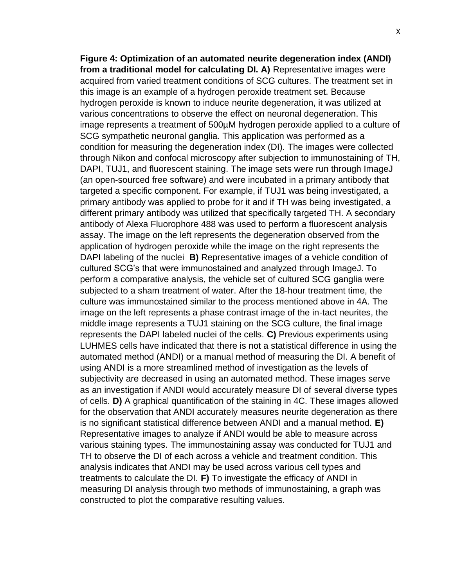**Figure 4: Optimization of an automated neurite degeneration index (ANDI) from a traditional model for calculating DI. A)** Representative images were acquired from varied treatment conditions of SCG cultures. The treatment set in this image is an example of a hydrogen peroxide treatment set. Because hydrogen peroxide is known to induce neurite degeneration, it was utilized at various concentrations to observe the effect on neuronal degeneration. This image represents a treatment of 500µM hydrogen peroxide applied to a culture of SCG sympathetic neuronal ganglia. This application was performed as a condition for measuring the degeneration index (DI). The images were collected through Nikon and confocal microscopy after subjection to immunostaining of TH, DAPI, TUJ1, and fluorescent staining. The image sets were run through ImageJ (an open-sourced free software) and were incubated in a primary antibody that targeted a specific component. For example, if TUJ1 was being investigated, a primary antibody was applied to probe for it and if TH was being investigated, a different primary antibody was utilized that specifically targeted TH. A secondary antibody of Alexa Fluorophore 488 was used to perform a fluorescent analysis assay. The image on the left represents the degeneration observed from the application of hydrogen peroxide while the image on the right represents the DAPI labeling of the nuclei **B)** Representative images of a vehicle condition of cultured SCG's that were immunostained and analyzed through ImageJ. To perform a comparative analysis, the vehicle set of cultured SCG ganglia were subjected to a sham treatment of water. After the 18-hour treatment time, the culture was immunostained similar to the process mentioned above in 4A. The image on the left represents a phase contrast image of the in-tact neurites, the middle image represents a TUJ1 staining on the SCG culture, the final image represents the DAPI labeled nuclei of the cells. **C)** Previous experiments using LUHMES cells have indicated that there is not a statistical difference in using the automated method (ANDI) or a manual method of measuring the DI. A benefit of using ANDI is a more streamlined method of investigation as the levels of subjectivity are decreased in using an automated method. These images serve as an investigation if ANDI would accurately measure DI of several diverse types of cells. **D)** A graphical quantification of the staining in 4C. These images allowed for the observation that ANDI accurately measures neurite degeneration as there is no significant statistical difference between ANDI and a manual method. **E)**  Representative images to analyze if ANDI would be able to measure across various staining types. The immunostaining assay was conducted for TUJ1 and TH to observe the DI of each across a vehicle and treatment condition. This analysis indicates that ANDI may be used across various cell types and treatments to calculate the DI. **F)** To investigate the efficacy of ANDI in measuring DI analysis through two methods of immunostaining, a graph was constructed to plot the comparative resulting values.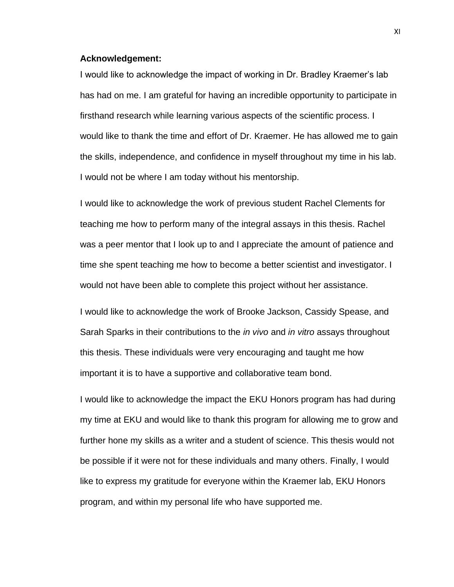#### <span id="page-11-0"></span>**Acknowledgement:**

I would like to acknowledge the impact of working in Dr. Bradley Kraemer's lab has had on me. I am grateful for having an incredible opportunity to participate in firsthand research while learning various aspects of the scientific process. I would like to thank the time and effort of Dr. Kraemer. He has allowed me to gain the skills, independence, and confidence in myself throughout my time in his lab. I would not be where I am today without his mentorship.

I would like to acknowledge the work of previous student Rachel Clements for teaching me how to perform many of the integral assays in this thesis. Rachel was a peer mentor that I look up to and I appreciate the amount of patience and time she spent teaching me how to become a better scientist and investigator. I would not have been able to complete this project without her assistance.

I would like to acknowledge the work of Brooke Jackson, Cassidy Spease, and Sarah Sparks in their contributions to the *in vivo* and *in vitro* assays throughout this thesis. These individuals were very encouraging and taught me how important it is to have a supportive and collaborative team bond.

I would like to acknowledge the impact the EKU Honors program has had during my time at EKU and would like to thank this program for allowing me to grow and further hone my skills as a writer and a student of science. This thesis would not be possible if it were not for these individuals and many others. Finally, I would like to express my gratitude for everyone within the Kraemer lab, EKU Honors program, and within my personal life who have supported me.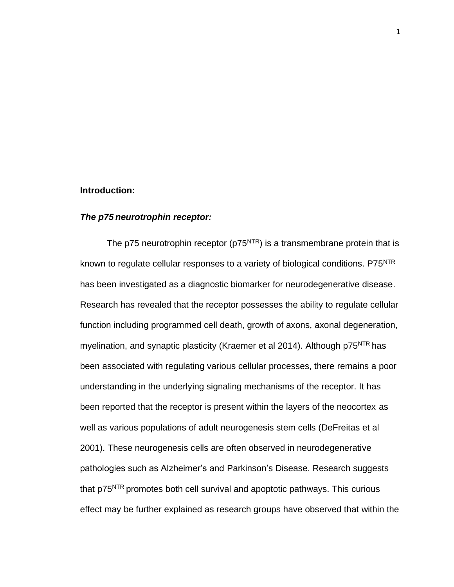#### <span id="page-12-0"></span>**Introduction:**

#### *The p75 neurotrophin receptor:*

The p75 neurotrophin receptor ( $p75<sup>NTR</sup>$ ) is a transmembrane protein that is known to regulate cellular responses to a variety of biological conditions. P75<sup>NTR</sup> has been investigated as a diagnostic biomarker for neurodegenerative disease. Research has revealed that the receptor possesses the ability to regulate cellular function including programmed cell death, growth of axons, axonal degeneration, myelination, and synaptic plasticity (Kraemer et al 2014). Although p75<sup>NTR</sup> has been associated with regulating various cellular processes, there remains a poor understanding in the underlying signaling mechanisms of the receptor. It has been reported that the receptor is present within the layers of the neocortex as well as various populations of adult neurogenesis stem cells (DeFreitas et al 2001). These neurogenesis cells are often observed in neurodegenerative pathologies such as Alzheimer's and Parkinson's Disease. Research suggests that p75<sup>NTR</sup> promotes both cell survival and apoptotic pathways. This curious effect may be further explained as research groups have observed that within the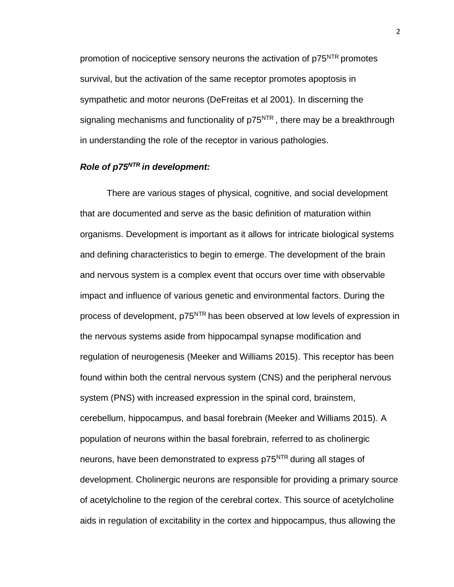promotion of nociceptive sensory neurons the activation of p75<sup>NTR</sup> promotes survival, but the activation of the same receptor promotes apoptosis in sympathetic and motor neurons (DeFreitas et al 2001). In discerning the signaling mechanisms and functionality of p75<sup>NTR</sup>, there may be a breakthrough in understanding the role of the receptor in various pathologies.

# *Role of p75NTR in development:*

There are various stages of physical, cognitive, and social development that are documented and serve as the basic definition of maturation within organisms. Development is important as it allows for intricate biological systems and defining characteristics to begin to emerge. The development of the brain and nervous system is a complex event that occurs over time with observable impact and influence of various genetic and environmental factors. During the process of development, p75<sup>NTR</sup> has been observed at low levels of expression in the nervous systems aside from hippocampal synapse modification and regulation of neurogenesis (Meeker and Williams 2015). This receptor has been found within both the central nervous system (CNS) and the peripheral nervous system (PNS) with increased expression in the spinal cord, brainstem, cerebellum, hippocampus, and basal forebrain (Meeker and Williams 2015). A population of neurons within the basal forebrain, referred to as cholinergic neurons, have been demonstrated to express p75<sup>NTR</sup> during all stages of development. Cholinergic neurons are responsible for providing a primary source of acetylcholine to the region of the cerebral cortex. This source of acetylcholine aids in regulation of excitability in the cortex and hippocampus, thus allowing the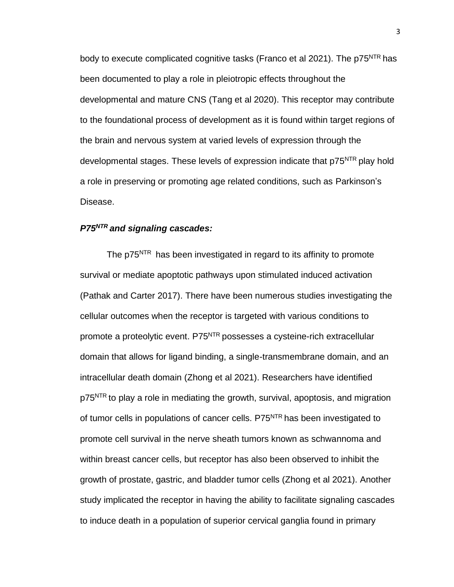body to execute complicated cognitive tasks (Franco et al 2021). The p75<sup>NTR</sup> has been documented to play a role in pleiotropic effects throughout the developmental and mature CNS (Tang et al 2020). This receptor may contribute to the foundational process of development as it is found within target regions of the brain and nervous system at varied levels of expression through the developmental stages. These levels of expression indicate that p75<sup>NTR</sup> play hold a role in preserving or promoting age related conditions, such as Parkinson's Disease.

# *P75NTR and signaling cascades:*

The p75<sup>NTR</sup> has been investigated in regard to its affinity to promote survival or mediate apoptotic pathways upon stimulated induced activation (Pathak and Carter 2017). There have been numerous studies investigating the cellular outcomes when the receptor is targeted with various conditions to promote a proteolytic event. P75<sup>NTR</sup> possesses a cysteine-rich extracellular domain that allows for ligand binding, a single-transmembrane domain, and an intracellular death domain (Zhong et al 2021). Researchers have identified p75<sup>NTR</sup> to play a role in mediating the growth, survival, apoptosis, and migration of tumor cells in populations of cancer cells. P75<sup>NTR</sup> has been investigated to promote cell survival in the nerve sheath tumors known as schwannoma and within breast cancer cells, but receptor has also been observed to inhibit the growth of prostate, gastric, and bladder tumor cells (Zhong et al 2021). Another study implicated the receptor in having the ability to facilitate signaling cascades to induce death in a population of superior cervical ganglia found in primary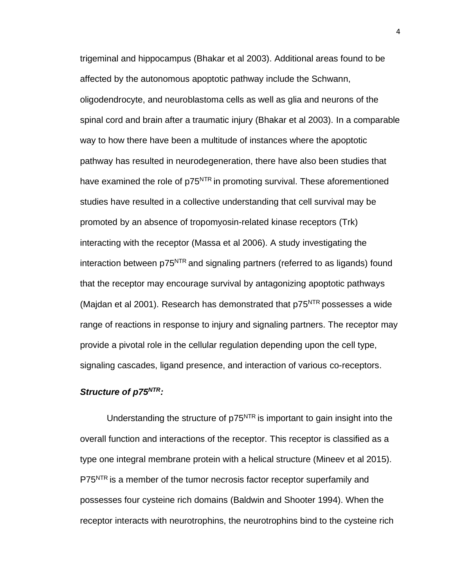trigeminal and hippocampus (Bhakar et al 2003). Additional areas found to be affected by the autonomous apoptotic pathway include the Schwann, oligodendrocyte, and neuroblastoma cells as well as glia and neurons of the spinal cord and brain after a traumatic injury (Bhakar et al 2003). In a comparable way to how there have been a multitude of instances where the apoptotic pathway has resulted in neurodegeneration, there have also been studies that have examined the role of p75<sup>NTR</sup> in promoting survival. These aforementioned studies have resulted in a collective understanding that cell survival may be promoted by an absence of tropomyosin-related kinase receptors (Trk) interacting with the receptor (Massa et al 2006). A study investigating the interaction between p75<sup>NTR</sup> and signaling partners (referred to as ligands) found that the receptor may encourage survival by antagonizing apoptotic pathways (Majdan et al 2001). Research has demonstrated that  $p75<sup>NTR</sup>$  possesses a wide range of reactions in response to injury and signaling partners. The receptor may provide a pivotal role in the cellular regulation depending upon the cell type, signaling cascades, ligand presence, and interaction of various co-receptors.

# *Structure of p75NTR:*

Understanding the structure of  $p75<sup>NTR</sup>$  is important to gain insight into the overall function and interactions of the receptor. This receptor is classified as a type one integral membrane protein with a helical structure (Mineev et al 2015). P75<sup>NTR</sup> is a member of the tumor necrosis factor receptor superfamily and possesses four cysteine rich domains (Baldwin and Shooter 1994). When the receptor interacts with neurotrophins, the neurotrophins bind to the cysteine rich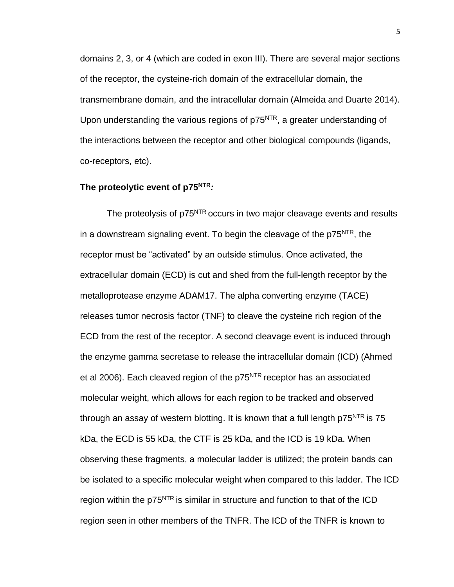domains 2, 3, or 4 (which are coded in exon III). There are several major sections of the receptor, the cysteine-rich domain of the extracellular domain, the transmembrane domain, and the intracellular domain (Almeida and Duarte 2014). Upon understanding the various regions of p75<sup>NTR</sup>, a greater understanding of the interactions between the receptor and other biological compounds (ligands, co-receptors, etc).

### **The proteolytic event of p75NTR***:*

The proteolysis of p75<sup>NTR</sup> occurs in two major cleavage events and results in a downstream signaling event. To begin the cleavage of the p75<sup>NTR</sup>, the receptor must be "activated" by an outside stimulus. Once activated, the extracellular domain (ECD) is cut and shed from the full-length receptor by the metalloprotease enzyme ADAM17. The alpha converting enzyme (TACE) releases tumor necrosis factor (TNF) to cleave the cysteine rich region of the ECD from the rest of the receptor. A second cleavage event is induced through the enzyme gamma secretase to release the intracellular domain (ICD) (Ahmed et al 2006). Each cleaved region of the  $p75<sup>NTR</sup>$  receptor has an associated molecular weight, which allows for each region to be tracked and observed through an assay of western blotting. It is known that a full length  $p75<sup>NTR</sup>$  is 75 kDa, the ECD is 55 kDa, the CTF is 25 kDa, and the ICD is 19 kDa. When observing these fragments, a molecular ladder is utilized; the protein bands can be isolated to a specific molecular weight when compared to this ladder. The ICD region within the  $p75<sup>NTR</sup>$  is similar in structure and function to that of the ICD region seen in other members of the TNFR. The ICD of the TNFR is known to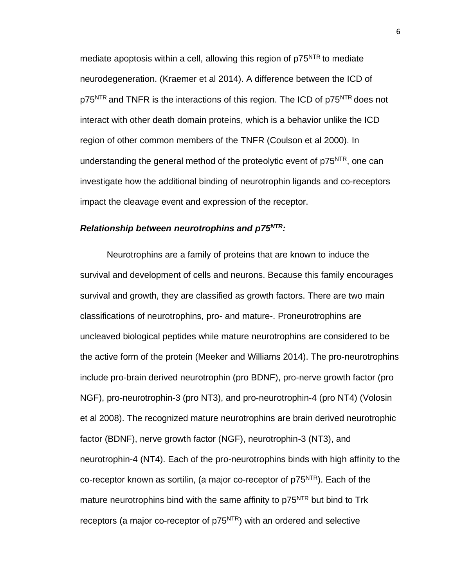mediate apoptosis within a cell, allowing this region of  $p75<sup>NTR</sup>$  to mediate neurodegeneration. (Kraemer et al 2014). A difference between the ICD of p75<sup>NTR</sup> and TNFR is the interactions of this region. The ICD of p75<sup>NTR</sup> does not interact with other death domain proteins, which is a behavior unlike the ICD region of other common members of the TNFR (Coulson et al 2000). In understanding the general method of the proteolytic event of p75<sup>NTR</sup>, one can investigate how the additional binding of neurotrophin ligands and co-receptors impact the cleavage event and expression of the receptor.

# *Relationship between neurotrophins and p75NTR:*

Neurotrophins are a family of proteins that are known to induce the survival and development of cells and neurons. Because this family encourages survival and growth, they are classified as growth factors. There are two main classifications of neurotrophins, pro- and mature-. Proneurotrophins are uncleaved biological peptides while mature neurotrophins are considered to be the active form of the protein (Meeker and Williams 2014). The pro-neurotrophins include pro-brain derived neurotrophin (pro BDNF), pro-nerve growth factor (pro NGF), pro-neurotrophin-3 (pro NT3), and pro-neurotrophin-4 (pro NT4) (Volosin et al 2008). The recognized mature neurotrophins are brain derived neurotrophic factor (BDNF), nerve growth factor (NGF), neurotrophin-3 (NT3), and neurotrophin-4 (NT4). Each of the pro-neurotrophins binds with high affinity to the co-receptor known as sortilin, (a major co-receptor of  $p75<sup>NTR</sup>$ ). Each of the mature neurotrophins bind with the same affinity to p75<sup>NTR</sup> but bind to Trk receptors (a major co-receptor of  $p75<sup>NTR</sup>$ ) with an ordered and selective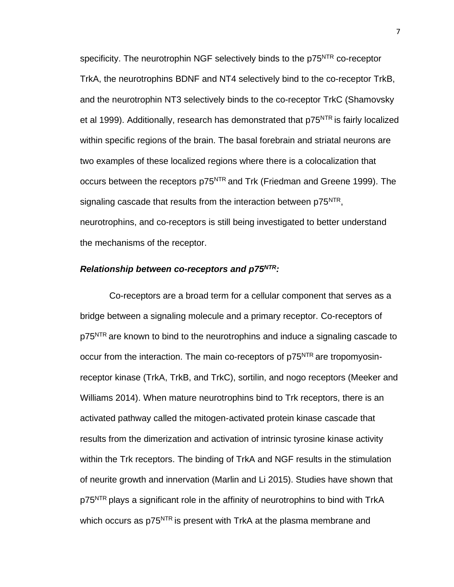specificity. The neurotrophin NGF selectively binds to the p75<sup>NTR</sup> co-receptor TrkA, the neurotrophins BDNF and NT4 selectively bind to the co-receptor TrkB, and the neurotrophin NT3 selectively binds to the co-receptor TrkC (Shamovsky et al 1999). Additionally, research has demonstrated that p75<sup>NTR</sup> is fairly localized within specific regions of the brain. The basal forebrain and striatal neurons are two examples of these localized regions where there is a colocalization that occurs between the receptors p75<sup>NTR</sup> and Trk (Friedman and Greene 1999). The signaling cascade that results from the interaction between p75<sup>NTR</sup>, neurotrophins, and co-receptors is still being investigated to better understand the mechanisms of the receptor.

# *Relationship between co-receptors and p75NTR:*

Co-receptors are a broad term for a cellular component that serves as a bridge between a signaling molecule and a primary receptor. Co-receptors of p75<sup>NTR</sup> are known to bind to the neurotrophins and induce a signaling cascade to occur from the interaction. The main co-receptors of p75<sup>NTR</sup> are tropomyosinreceptor kinase (TrkA, TrkB, and TrkC), sortilin, and nogo receptors (Meeker and Williams 2014). When mature neurotrophins bind to Trk receptors, there is an activated pathway called the mitogen-activated protein kinase cascade that results from the dimerization and activation of intrinsic tyrosine kinase activity within the Trk receptors. The binding of TrkA and NGF results in the stimulation of neurite growth and innervation (Marlin and Li 2015). Studies have shown that p75<sup>NTR</sup> plays a significant role in the affinity of neurotrophins to bind with TrkA which occurs as p75<sup>NTR</sup> is present with TrkA at the plasma membrane and

7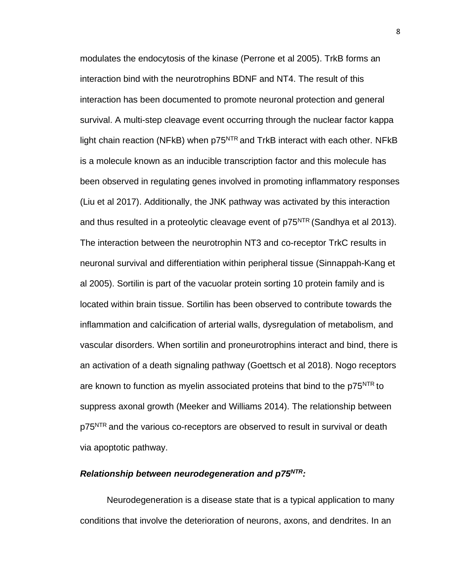modulates the endocytosis of the kinase (Perrone et al 2005). TrkB forms an interaction bind with the neurotrophins BDNF and NT4. The result of this interaction has been documented to promote neuronal protection and general survival. A multi-step cleavage event occurring through the nuclear factor kappa light chain reaction (NFkB) when  $p75<sup>NTR</sup>$  and TrkB interact with each other. NFkB is a molecule known as an inducible transcription factor and this molecule has been observed in regulating genes involved in promoting inflammatory responses (Liu et al 2017). Additionally, the JNK pathway was activated by this interaction and thus resulted in a proteolytic cleavage event of  $p75<sup>NTR</sup>$  (Sandhya et al 2013). The interaction between the neurotrophin NT3 and co-receptor TrkC results in neuronal survival and differentiation within peripheral tissue (Sinnappah-Kang et al 2005). Sortilin is part of the vacuolar protein sorting 10 protein family and is located within brain tissue. Sortilin has been observed to contribute towards the inflammation and calcification of arterial walls, dysregulation of metabolism, and vascular disorders. When sortilin and proneurotrophins interact and bind, there is an activation of a death signaling pathway (Goettsch et al 2018). Nogo receptors are known to function as myelin associated proteins that bind to the p75<sup>NTR</sup> to suppress axonal growth (Meeker and Williams 2014). The relationship between p75<sup>NTR</sup> and the various co-receptors are observed to result in survival or death via apoptotic pathway.

# *Relationship between neurodegeneration and p75NTR:*

Neurodegeneration is a disease state that is a typical application to many conditions that involve the deterioration of neurons, axons, and dendrites. In an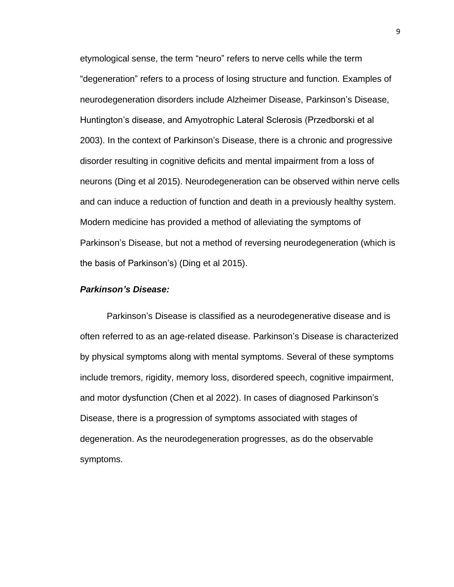etymological sense, the term "neuro" refers to nerve cells while the term "degeneration" refers to a process of losing structure and function. Examples of neurodegeneration disorders include Alzheimer Disease, Parkinson's Disease, Huntington's disease, and Amyotrophic Lateral Sclerosis (Przedborski et al 2003). In the context of Parkinson's Disease, there is a chronic and progressive disorder resulting in cognitive deficits and mental impairment from a loss of neurons (Ding et al 2015). Neurodegeneration can be observed within nerve cells and can induce a reduction of function and death in a previously healthy system. Modern medicine has provided a method of alleviating the symptoms of Parkinson's Disease, but not a method of reversing neurodegeneration (which is the basis of Parkinson's) (Ding et al 2015).

### *Parkinson's Disease:*

Parkinson's Disease is classified as a neurodegenerative disease and is often referred to as an age-related disease. Parkinson's Disease is characterized by physical symptoms along with mental symptoms. Several of these symptoms include tremors, rigidity, memory loss, disordered speech, cognitive impairment, and motor dysfunction (Chen et al 2022). In cases of diagnosed Parkinson's Disease, there is a progression of symptoms associated with stages of degeneration. As the neurodegeneration progresses, as do the observable symptoms.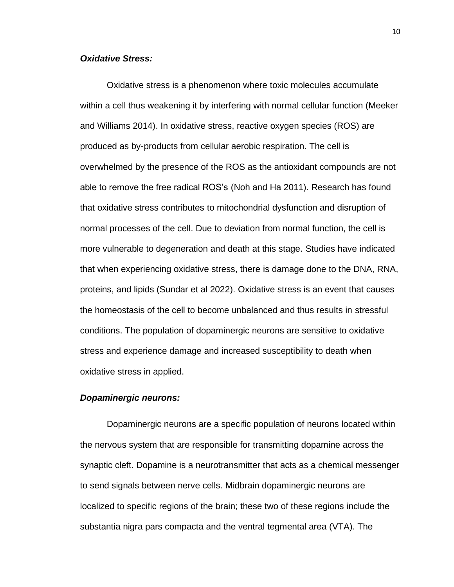# *Oxidative Stress:*

Oxidative stress is a phenomenon where toxic molecules accumulate within a cell thus weakening it by interfering with normal cellular function (Meeker and Williams 2014). In oxidative stress, reactive oxygen species (ROS) are produced as by-products from cellular aerobic respiration. The cell is overwhelmed by the presence of the ROS as the antioxidant compounds are not able to remove the free radical ROS's (Noh and Ha 2011). Research has found that oxidative stress contributes to mitochondrial dysfunction and disruption of normal processes of the cell. Due to deviation from normal function, the cell is more vulnerable to degeneration and death at this stage. Studies have indicated that when experiencing oxidative stress, there is damage done to the DNA, RNA, proteins, and lipids (Sundar et al 2022). Oxidative stress is an event that causes the homeostasis of the cell to become unbalanced and thus results in stressful conditions. The population of dopaminergic neurons are sensitive to oxidative stress and experience damage and increased susceptibility to death when oxidative stress in applied.

# *Dopaminergic neurons:*

Dopaminergic neurons are a specific population of neurons located within the nervous system that are responsible for transmitting dopamine across the synaptic cleft. Dopamine is a neurotransmitter that acts as a chemical messenger to send signals between nerve cells. Midbrain dopaminergic neurons are localized to specific regions of the brain; these two of these regions include the substantia nigra pars compacta and the ventral tegmental area (VTA). The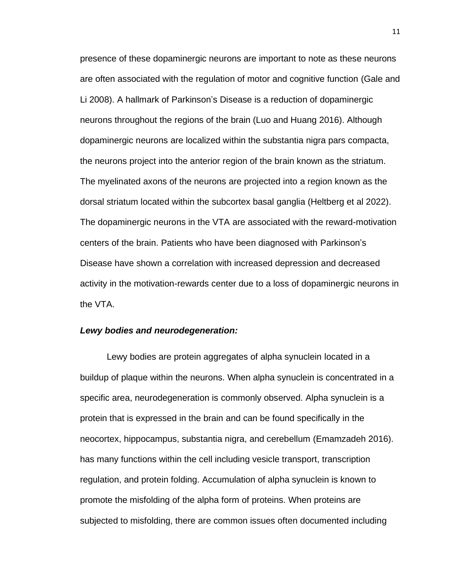presence of these dopaminergic neurons are important to note as these neurons are often associated with the regulation of motor and cognitive function (Gale and Li 2008). A hallmark of Parkinson's Disease is a reduction of dopaminergic neurons throughout the regions of the brain (Luo and Huang 2016). Although dopaminergic neurons are localized within the substantia nigra pars compacta, the neurons project into the anterior region of the brain known as the striatum. The myelinated axons of the neurons are projected into a region known as the dorsal striatum located within the subcortex basal ganglia (Heltberg et al 2022). The dopaminergic neurons in the VTA are associated with the reward-motivation centers of the brain. Patients who have been diagnosed with Parkinson's Disease have shown a correlation with increased depression and decreased activity in the motivation-rewards center due to a loss of dopaminergic neurons in the VTA.

#### *Lewy bodies and neurodegeneration:*

Lewy bodies are protein aggregates of alpha synuclein located in a buildup of plaque within the neurons. When alpha synuclein is concentrated in a specific area, neurodegeneration is commonly observed. Alpha synuclein is a protein that is expressed in the brain and can be found specifically in the neocortex, hippocampus, substantia nigra, and cerebellum (Emamzadeh 2016). has many functions within the cell including vesicle transport, transcription regulation, and protein folding. Accumulation of alpha synuclein is known to promote the misfolding of the alpha form of proteins. When proteins are subjected to misfolding, there are common issues often documented including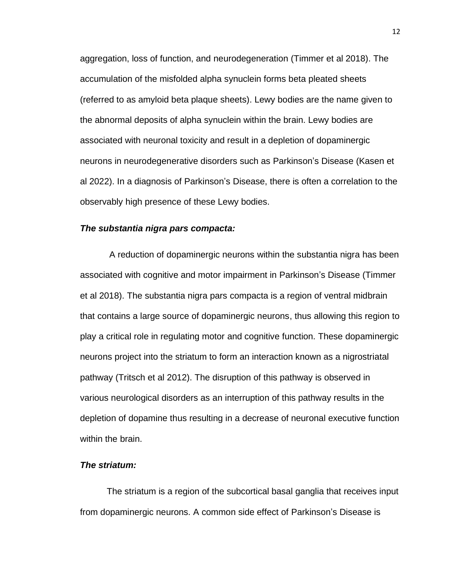aggregation, loss of function, and neurodegeneration (Timmer et al 2018). The accumulation of the misfolded alpha synuclein forms beta pleated sheets (referred to as amyloid beta plaque sheets). Lewy bodies are the name given to the abnormal deposits of alpha synuclein within the brain. Lewy bodies are associated with neuronal toxicity and result in a depletion of dopaminergic neurons in neurodegenerative disorders such as Parkinson's Disease (Kasen et al 2022). In a diagnosis of Parkinson's Disease, there is often a correlation to the observably high presence of these Lewy bodies.

# *The substantia nigra pars compacta:*

A reduction of dopaminergic neurons within the substantia nigra has been associated with cognitive and motor impairment in Parkinson's Disease (Timmer et al 2018). The substantia nigra pars compacta is a region of ventral midbrain that contains a large source of dopaminergic neurons, thus allowing this region to play a critical role in regulating motor and cognitive function. These dopaminergic neurons project into the striatum to form an interaction known as a nigrostriatal pathway (Tritsch et al 2012). The disruption of this pathway is observed in various neurological disorders as an interruption of this pathway results in the depletion of dopamine thus resulting in a decrease of neuronal executive function within the brain.

# *The striatum:*

The striatum is a region of the subcortical basal ganglia that receives input from dopaminergic neurons. A common side effect of Parkinson's Disease is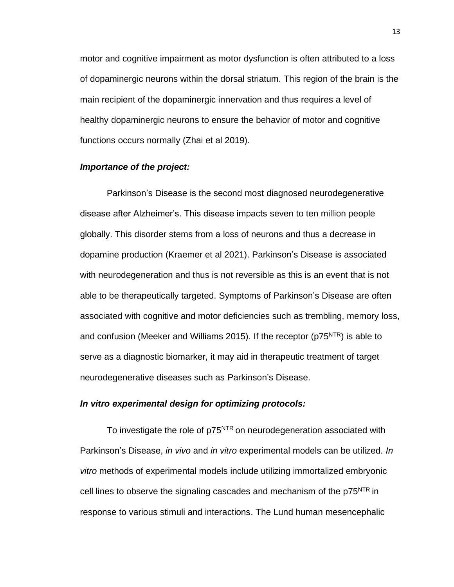motor and cognitive impairment as motor dysfunction is often attributed to a loss of dopaminergic neurons within the dorsal striatum. This region of the brain is the main recipient of the dopaminergic innervation and thus requires a level of healthy dopaminergic neurons to ensure the behavior of motor and cognitive functions occurs normally (Zhai et al 2019).

# *Importance of the project:*

Parkinson's Disease is the second most diagnosed neurodegenerative disease after Alzheimer's. This disease impacts seven to ten million people globally. This disorder stems from a loss of neurons and thus a decrease in dopamine production (Kraemer et al 2021). Parkinson's Disease is associated with neurodegeneration and thus is not reversible as this is an event that is not able to be therapeutically targeted. Symptoms of Parkinson's Disease are often associated with cognitive and motor deficiencies such as trembling, memory loss, and confusion (Meeker and Williams 2015). If the receptor ( $p75<sup>NTR</sup>$ ) is able to serve as a diagnostic biomarker, it may aid in therapeutic treatment of target neurodegenerative diseases such as Parkinson's Disease.

# *In vitro experimental design for optimizing protocols:*

To investigate the role of p75<sup>NTR</sup> on neurodegeneration associated with Parkinson's Disease, *in vivo* and *in vitro* experimental models can be utilized. *In vitro* methods of experimental models include utilizing immortalized embryonic cell lines to observe the signaling cascades and mechanism of the p75<sup>NTR</sup> in response to various stimuli and interactions. The Lund human mesencephalic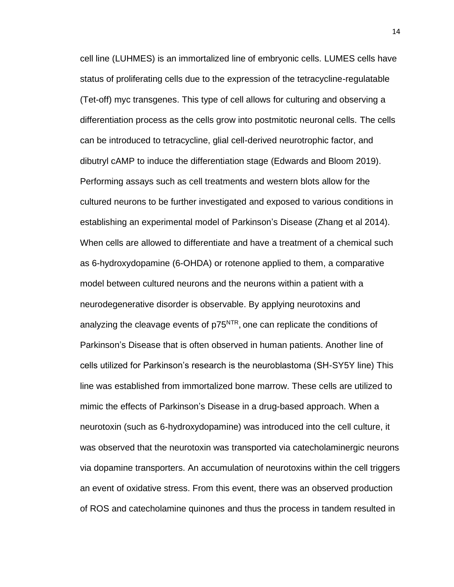cell line (LUHMES) is an immortalized line of embryonic cells. LUMES cells have status of proliferating cells due to the expression of the tetracycline-regulatable (Tet-off) myc transgenes. This type of cell allows for culturing and observing a differentiation process as the cells grow into postmitotic neuronal cells. The cells can be introduced to tetracycline, glial cell-derived neurotrophic factor, and dibutryl cAMP to induce the differentiation stage (Edwards and Bloom 2019). Performing assays such as cell treatments and western blots allow for the cultured neurons to be further investigated and exposed to various conditions in establishing an experimental model of Parkinson's Disease (Zhang et al 2014). When cells are allowed to differentiate and have a treatment of a chemical such as 6-hydroxydopamine (6-OHDA) or rotenone applied to them, a comparative model between cultured neurons and the neurons within a patient with a neurodegenerative disorder is observable. By applying neurotoxins and analyzing the cleavage events of p75<sup>NTR</sup>, one can replicate the conditions of Parkinson's Disease that is often observed in human patients. Another line of cells utilized for Parkinson's research is the neuroblastoma (SH-SY5Y line) This line was established from immortalized bone marrow. These cells are utilized to mimic the effects of Parkinson's Disease in a drug-based approach. When a neurotoxin (such as 6-hydroxydopamine) was introduced into the cell culture, it was observed that the neurotoxin was transported via catecholaminergic neurons via dopamine transporters. An accumulation of neurotoxins within the cell triggers an event of oxidative stress. From this event, there was an observed production of ROS and catecholamine quinones and thus the process in tandem resulted in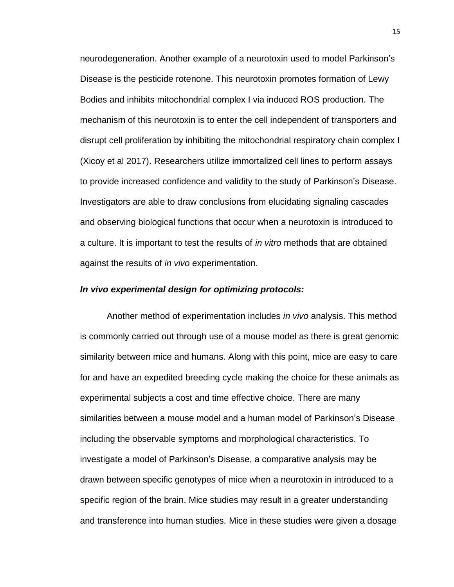neurodegeneration. Another example of a neurotoxin used to model Parkinson's Disease is the pesticide rotenone. This neurotoxin promotes formation of Lewy Bodies and inhibits mitochondrial complex I via induced ROS production. The mechanism of this neurotoxin is to enter the cell independent of transporters and disrupt cell proliferation by inhibiting the mitochondrial respiratory chain complex I (Xicoy et al 2017). Researchers utilize immortalized cell lines to perform assays to provide increased confidence and validity to the study of Parkinson's Disease. Investigators are able to draw conclusions from elucidating signaling cascades and observing biological functions that occur when a neurotoxin is introduced to a culture. It is important to test the results of *in vitro* methods that are obtained against the results of *in vivo* experimentation.

## *In vivo experimental design for optimizing protocols:*

Another method of experimentation includes *in vivo* analysis. This method is commonly carried out through use of a mouse model as there is great genomic similarity between mice and humans. Along with this point, mice are easy to care for and have an expedited breeding cycle making the choice for these animals as experimental subjects a cost and time effective choice. There are many similarities between a mouse model and a human model of Parkinson's Disease including the observable symptoms and morphological characteristics. To investigate a model of Parkinson's Disease, a comparative analysis may be drawn between specific genotypes of mice when a neurotoxin in introduced to a specific region of the brain. Mice studies may result in a greater understanding and transference into human studies. Mice in these studies were given a dosage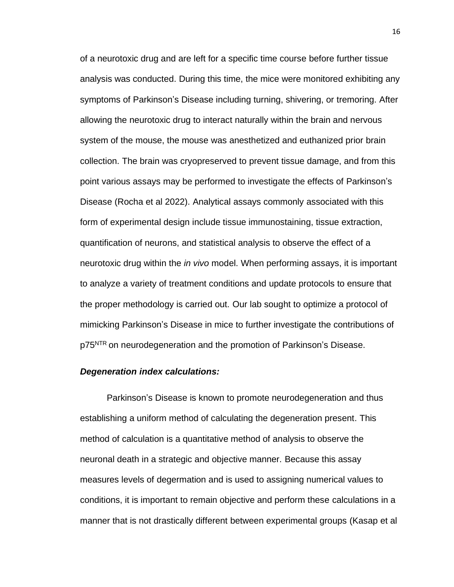of a neurotoxic drug and are left for a specific time course before further tissue analysis was conducted. During this time, the mice were monitored exhibiting any symptoms of Parkinson's Disease including turning, shivering, or tremoring. After allowing the neurotoxic drug to interact naturally within the brain and nervous system of the mouse, the mouse was anesthetized and euthanized prior brain collection. The brain was cryopreserved to prevent tissue damage, and from this point various assays may be performed to investigate the effects of Parkinson's Disease (Rocha et al 2022). Analytical assays commonly associated with this form of experimental design include tissue immunostaining, tissue extraction, quantification of neurons, and statistical analysis to observe the effect of a neurotoxic drug within the *in vivo* model. When performing assays, it is important to analyze a variety of treatment conditions and update protocols to ensure that the proper methodology is carried out. Our lab sought to optimize a protocol of mimicking Parkinson's Disease in mice to further investigate the contributions of p75<sup>NTR</sup> on neurodegeneration and the promotion of Parkinson's Disease.

### *Degeneration index calculations:*

Parkinson's Disease is known to promote neurodegeneration and thus establishing a uniform method of calculating the degeneration present. This method of calculation is a quantitative method of analysis to observe the neuronal death in a strategic and objective manner. Because this assay measures levels of degermation and is used to assigning numerical values to conditions, it is important to remain objective and perform these calculations in a manner that is not drastically different between experimental groups (Kasap et al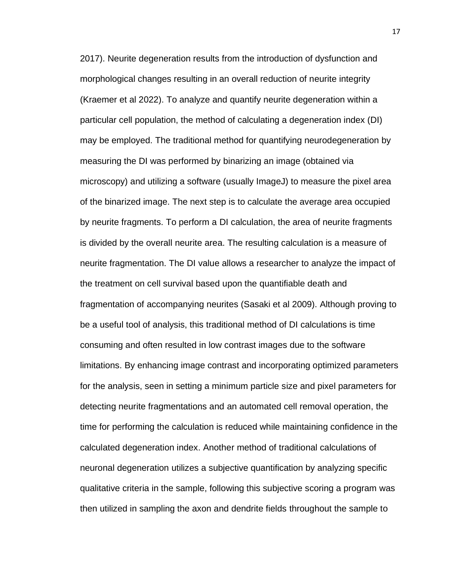2017). Neurite degeneration results from the introduction of dysfunction and morphological changes resulting in an overall reduction of neurite integrity (Kraemer et al 2022). To analyze and quantify neurite degeneration within a particular cell population, the method of calculating a degeneration index (DI) may be employed. The traditional method for quantifying neurodegeneration by measuring the DI was performed by binarizing an image (obtained via microscopy) and utilizing a software (usually ImageJ) to measure the pixel area of the binarized image. The next step is to calculate the average area occupied by neurite fragments. To perform a DI calculation, the area of neurite fragments is divided by the overall neurite area. The resulting calculation is a measure of neurite fragmentation. The DI value allows a researcher to analyze the impact of the treatment on cell survival based upon the quantifiable death and fragmentation of accompanying neurites (Sasaki et al 2009). Although proving to be a useful tool of analysis, this traditional method of DI calculations is time consuming and often resulted in low contrast images due to the software limitations. By enhancing image contrast and incorporating optimized parameters for the analysis, seen in setting a minimum particle size and pixel parameters for detecting neurite fragmentations and an automated cell removal operation, the time for performing the calculation is reduced while maintaining confidence in the calculated degeneration index. Another method of traditional calculations of neuronal degeneration utilizes a subjective quantification by analyzing specific qualitative criteria in the sample, following this subjective scoring a program was then utilized in sampling the axon and dendrite fields throughout the sample to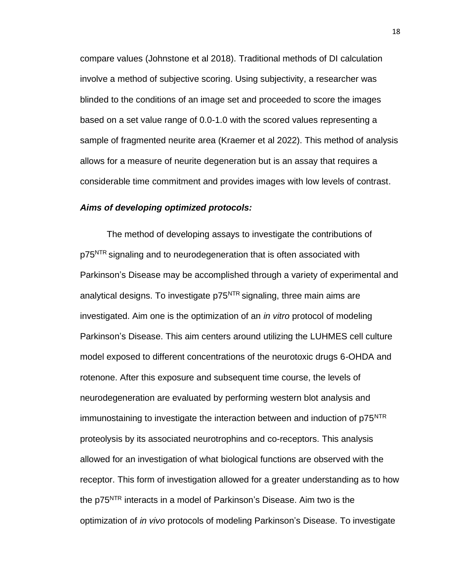compare values (Johnstone et al 2018). Traditional methods of DI calculation involve a method of subjective scoring. Using subjectivity, a researcher was blinded to the conditions of an image set and proceeded to score the images based on a set value range of 0.0-1.0 with the scored values representing a sample of fragmented neurite area (Kraemer et al 2022). This method of analysis allows for a measure of neurite degeneration but is an assay that requires a considerable time commitment and provides images with low levels of contrast.

# *Aims of developing optimized protocols:*

The method of developing assays to investigate the contributions of p75<sup>NTR</sup> signaling and to neurodegeneration that is often associated with Parkinson's Disease may be accomplished through a variety of experimental and analytical designs. To investigate p75<sup>NTR</sup> signaling, three main aims are investigated. Aim one is the optimization of an *in vitro* protocol of modeling Parkinson's Disease. This aim centers around utilizing the LUHMES cell culture model exposed to different concentrations of the neurotoxic drugs 6-OHDA and rotenone. After this exposure and subsequent time course, the levels of neurodegeneration are evaluated by performing western blot analysis and immunostaining to investigate the interaction between and induction of p75<sup>NTR</sup> proteolysis by its associated neurotrophins and co-receptors. This analysis allowed for an investigation of what biological functions are observed with the receptor. This form of investigation allowed for a greater understanding as to how the p75<sup>NTR</sup> interacts in a model of Parkinson's Disease. Aim two is the optimization of *in vivo* protocols of modeling Parkinson's Disease. To investigate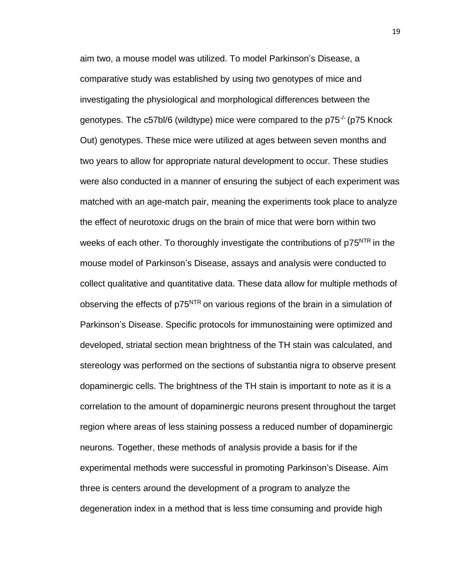aim two, a mouse model was utilized. To model Parkinson's Disease, a comparative study was established by using two genotypes of mice and investigating the physiological and morphological differences between the genotypes. The c57bl/6 (wildtype) mice were compared to the p75<sup>-/-</sup> (p75 Knock Out) genotypes. These mice were utilized at ages between seven months and two years to allow for appropriate natural development to occur. These studies were also conducted in a manner of ensuring the subject of each experiment was matched with an age-match pair, meaning the experiments took place to analyze the effect of neurotoxic drugs on the brain of mice that were born within two weeks of each other. To thoroughly investigate the contributions of p75<sup>NTR</sup> in the mouse model of Parkinson's Disease, assays and analysis were conducted to collect qualitative and quantitative data. These data allow for multiple methods of observing the effects of p75<sup>NTR</sup> on various regions of the brain in a simulation of Parkinson's Disease. Specific protocols for immunostaining were optimized and developed, striatal section mean brightness of the TH stain was calculated, and stereology was performed on the sections of substantia nigra to observe present dopaminergic cells. The brightness of the TH stain is important to note as it is a correlation to the amount of dopaminergic neurons present throughout the target region where areas of less staining possess a reduced number of dopaminergic neurons. Together, these methods of analysis provide a basis for if the experimental methods were successful in promoting Parkinson's Disease. Aim three is centers around the development of a program to analyze the degeneration index in a method that is less time consuming and provide high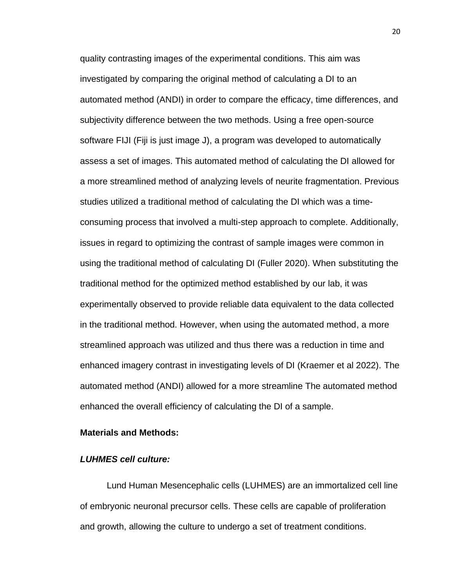quality contrasting images of the experimental conditions. This aim was investigated by comparing the original method of calculating a DI to an automated method (ANDI) in order to compare the efficacy, time differences, and subjectivity difference between the two methods. Using a free open-source software FIJI (Fiji is just image J), a program was developed to automatically assess a set of images. This automated method of calculating the DI allowed for a more streamlined method of analyzing levels of neurite fragmentation. Previous studies utilized a traditional method of calculating the DI which was a timeconsuming process that involved a multi-step approach to complete. Additionally, issues in regard to optimizing the contrast of sample images were common in using the traditional method of calculating DI (Fuller 2020). When substituting the traditional method for the optimized method established by our lab, it was experimentally observed to provide reliable data equivalent to the data collected in the traditional method. However, when using the automated method, a more streamlined approach was utilized and thus there was a reduction in time and enhanced imagery contrast in investigating levels of DI (Kraemer et al 2022). The automated method (ANDI) allowed for a more streamline The automated method enhanced the overall efficiency of calculating the DI of a sample.

# <span id="page-31-0"></span>**Materials and Methods:**

# *LUHMES cell culture:*

Lund Human Mesencephalic cells (LUHMES) are an immortalized cell line of embryonic neuronal precursor cells. These cells are capable of proliferation and growth, allowing the culture to undergo a set of treatment conditions.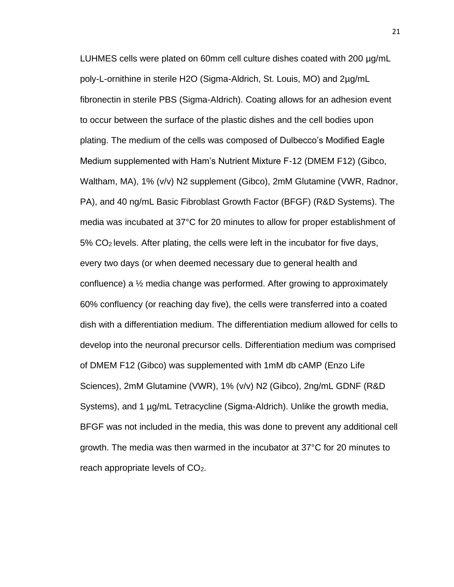LUHMES cells were plated on 60mm cell culture dishes coated with 200 µg/mL poly-L-ornithine in sterile H2O (Sigma-Aldrich, St. Louis, MO) and 2µg/mL fibronectin in sterile PBS (Sigma-Aldrich). Coating allows for an adhesion event to occur between the surface of the plastic dishes and the cell bodies upon plating. The medium of the cells was composed of Dulbecco's Modified Eagle Medium supplemented with Ham's Nutrient Mixture F-12 (DMEM F12) (Gibco, Waltham, MA), 1% (v/v) N2 supplement (Gibco), 2mM Glutamine (VWR, Radnor, PA), and 40 ng/mL Basic Fibroblast Growth Factor (BFGF) (R&D Systems). The media was incubated at 37°C for 20 minutes to allow for proper establishment of 5% CO2 levels. After plating, the cells were left in the incubator for five days, every two days (or when deemed necessary due to general health and confluence) a ½ media change was performed. After growing to approximately 60% confluency (or reaching day five), the cells were transferred into a coated dish with a differentiation medium. The differentiation medium allowed for cells to develop into the neuronal precursor cells. Differentiation medium was comprised of DMEM F12 (Gibco) was supplemented with 1mM db cAMP (Enzo Life Sciences), 2mM Glutamine (VWR), 1% (v/v) N2 (Gibco), 2ng/mL GDNF (R&D Systems), and 1 µg/mL Tetracycline (Sigma-Aldrich). Unlike the growth media, BFGF was not included in the media, this was done to prevent any additional cell growth. The media was then warmed in the incubator at 37°C for 20 minutes to reach appropriate levels of  $CO<sub>2</sub>$ .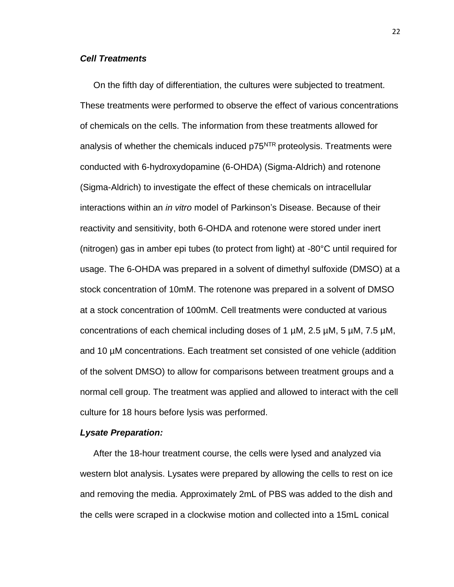# *Cell Treatments*

On the fifth day of differentiation, the cultures were subjected to treatment. These treatments were performed to observe the effect of various concentrations of chemicals on the cells. The information from these treatments allowed for analysis of whether the chemicals induced p75<sup>NTR</sup> proteolysis. Treatments were conducted with 6-hydroxydopamine (6-OHDA) (Sigma-Aldrich) and rotenone (Sigma-Aldrich) to investigate the effect of these chemicals on intracellular interactions within an *in vitro* model of Parkinson's Disease. Because of their reactivity and sensitivity, both 6-OHDA and rotenone were stored under inert (nitrogen) gas in amber epi tubes (to protect from light) at -80°C until required for usage. The 6-OHDA was prepared in a solvent of dimethyl sulfoxide (DMSO) at a stock concentration of 10mM. The rotenone was prepared in a solvent of DMSO at a stock concentration of 100mM. Cell treatments were conducted at various concentrations of each chemical including doses of 1  $\mu$ M, 2.5  $\mu$ M, 5  $\mu$ M, 7.5  $\mu$ M, and 10 µM concentrations. Each treatment set consisted of one vehicle (addition of the solvent DMSO) to allow for comparisons between treatment groups and a normal cell group. The treatment was applied and allowed to interact with the cell culture for 18 hours before lysis was performed.

#### *Lysate Preparation:*

After the 18-hour treatment course, the cells were lysed and analyzed via western blot analysis. Lysates were prepared by allowing the cells to rest on ice and removing the media. Approximately 2mL of PBS was added to the dish and the cells were scraped in a clockwise motion and collected into a 15mL conical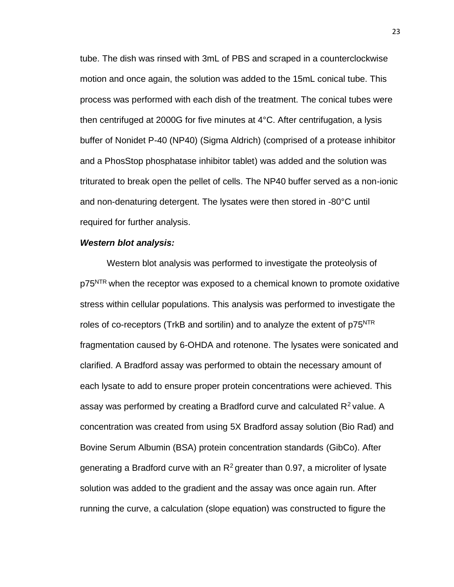tube. The dish was rinsed with 3mL of PBS and scraped in a counterclockwise motion and once again, the solution was added to the 15mL conical tube. This process was performed with each dish of the treatment. The conical tubes were then centrifuged at 2000G for five minutes at 4°C. After centrifugation, a lysis buffer of Nonidet P-40 (NP40) (Sigma Aldrich) (comprised of a protease inhibitor and a PhosStop phosphatase inhibitor tablet) was added and the solution was triturated to break open the pellet of cells. The NP40 buffer served as a non-ionic and non-denaturing detergent. The lysates were then stored in -80°C until required for further analysis.

### *Western blot analysis:*

Western blot analysis was performed to investigate the proteolysis of p75<sup>NTR</sup> when the receptor was exposed to a chemical known to promote oxidative stress within cellular populations. This analysis was performed to investigate the roles of co-receptors (TrkB and sortilin) and to analyze the extent of  $p75<sup>NTR</sup>$ fragmentation caused by 6-OHDA and rotenone. The lysates were sonicated and clarified. A Bradford assay was performed to obtain the necessary amount of each lysate to add to ensure proper protein concentrations were achieved. This assay was performed by creating a Bradford curve and calculated  $R^2$  value. A concentration was created from using 5X Bradford assay solution (Bio Rad) and Bovine Serum Albumin (BSA) protein concentration standards (GibCo). After generating a Bradford curve with an  $R^2$  greater than 0.97, a microliter of lysate solution was added to the gradient and the assay was once again run. After running the curve, a calculation (slope equation) was constructed to figure the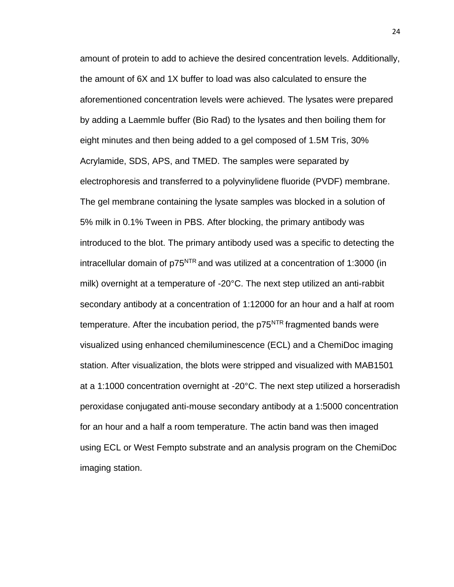amount of protein to add to achieve the desired concentration levels. Additionally, the amount of 6X and 1X buffer to load was also calculated to ensure the aforementioned concentration levels were achieved. The lysates were prepared by adding a Laemmle buffer (Bio Rad) to the lysates and then boiling them for eight minutes and then being added to a gel composed of 1.5M Tris, 30% Acrylamide, SDS, APS, and TMED. The samples were separated by electrophoresis and transferred to a polyvinylidene fluoride (PVDF) membrane. The gel membrane containing the lysate samples was blocked in a solution of 5% milk in 0.1% Tween in PBS. After blocking, the primary antibody was introduced to the blot. The primary antibody used was a specific to detecting the intracellular domain of  $p75<sup>NTR</sup>$  and was utilized at a concentration of 1:3000 (in milk) overnight at a temperature of -20°C. The next step utilized an anti-rabbit secondary antibody at a concentration of 1:12000 for an hour and a half at room temperature. After the incubation period, the  $p75<sup>NTR</sup>$  fragmented bands were visualized using enhanced chemiluminescence (ECL) and a ChemiDoc imaging station. After visualization, the blots were stripped and visualized with MAB1501 at a 1:1000 concentration overnight at -20°C. The next step utilized a horseradish peroxidase conjugated anti-mouse secondary antibody at a 1:5000 concentration for an hour and a half a room temperature. The actin band was then imaged using ECL or West Fempto substrate and an analysis program on the ChemiDoc imaging station.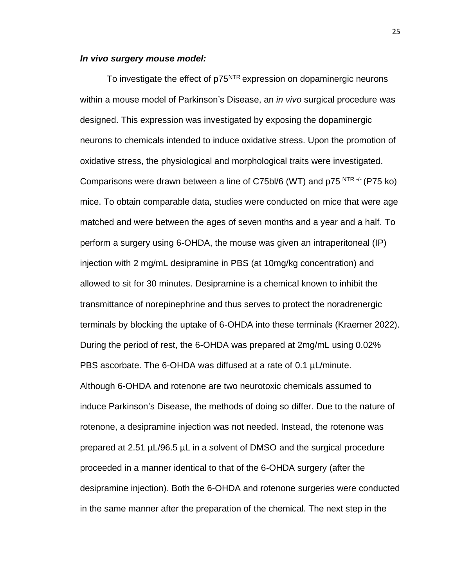# *In vivo surgery mouse model:*

To investigate the effect of p75<sup>NTR</sup> expression on dopaminergic neurons within a mouse model of Parkinson's Disease, an *in vivo* surgical procedure was designed. This expression was investigated by exposing the dopaminergic neurons to chemicals intended to induce oxidative stress. Upon the promotion of oxidative stress, the physiological and morphological traits were investigated. Comparisons were drawn between a line of C75bl/6 (WT) and p75  $^{\text{NTR } -/-}$  (P75 ko) mice. To obtain comparable data, studies were conducted on mice that were age matched and were between the ages of seven months and a year and a half. To perform a surgery using 6-OHDA, the mouse was given an intraperitoneal (IP) injection with 2 mg/mL desipramine in PBS (at 10mg/kg concentration) and allowed to sit for 30 minutes. Desipramine is a chemical known to inhibit the transmittance of norepinephrine and thus serves to protect the noradrenergic terminals by blocking the uptake of 6-OHDA into these terminals (Kraemer 2022). During the period of rest, the 6-OHDA was prepared at 2mg/mL using 0.02% PBS ascorbate. The 6-OHDA was diffused at a rate of 0.1 µL/minute. Although 6-OHDA and rotenone are two neurotoxic chemicals assumed to induce Parkinson's Disease, the methods of doing so differ. Due to the nature of rotenone, a desipramine injection was not needed. Instead, the rotenone was prepared at 2.51 µL/96.5 µL in a solvent of DMSO and the surgical procedure proceeded in a manner identical to that of the 6-OHDA surgery (after the desipramine injection). Both the 6-OHDA and rotenone surgeries were conducted in the same manner after the preparation of the chemical. The next step in the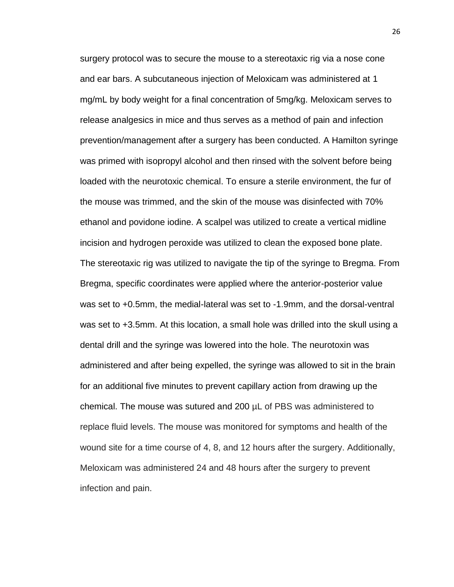surgery protocol was to secure the mouse to a stereotaxic rig via a nose cone and ear bars. A subcutaneous injection of Meloxicam was administered at 1 mg/mL by body weight for a final concentration of 5mg/kg. Meloxicam serves to release analgesics in mice and thus serves as a method of pain and infection prevention/management after a surgery has been conducted. A Hamilton syringe was primed with isopropyl alcohol and then rinsed with the solvent before being loaded with the neurotoxic chemical. To ensure a sterile environment, the fur of the mouse was trimmed, and the skin of the mouse was disinfected with 70% ethanol and povidone iodine. A scalpel was utilized to create a vertical midline incision and hydrogen peroxide was utilized to clean the exposed bone plate. The stereotaxic rig was utilized to navigate the tip of the syringe to Bregma. From Bregma, specific coordinates were applied where the anterior-posterior value was set to +0.5mm, the medial-lateral was set to -1.9mm, and the dorsal-ventral was set to +3.5mm. At this location, a small hole was drilled into the skull using a dental drill and the syringe was lowered into the hole. The neurotoxin was administered and after being expelled, the syringe was allowed to sit in the brain for an additional five minutes to prevent capillary action from drawing up the chemical. The mouse was sutured and 200 µL of PBS was administered to replace fluid levels. The mouse was monitored for symptoms and health of the wound site for a time course of 4, 8, and 12 hours after the surgery. Additionally, Meloxicam was administered 24 and 48 hours after the surgery to prevent infection and pain.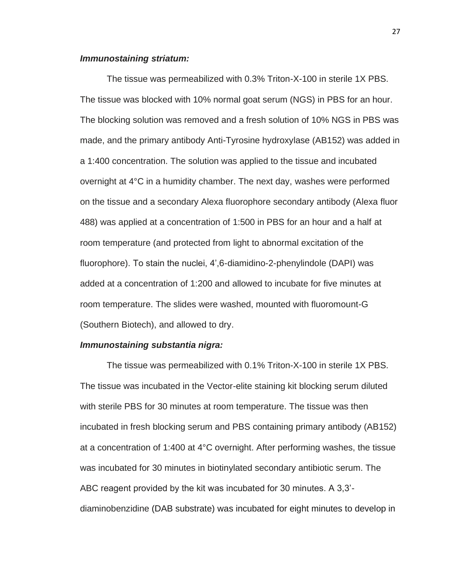# *Immunostaining striatum:*

The tissue was permeabilized with 0.3% Triton-X-100 in sterile 1X PBS. The tissue was blocked with 10% normal goat serum (NGS) in PBS for an hour. The blocking solution was removed and a fresh solution of 10% NGS in PBS was made, and the primary antibody Anti-Tyrosine hydroxylase (AB152) was added in a 1:400 concentration. The solution was applied to the tissue and incubated overnight at 4°C in a humidity chamber. The next day, washes were performed on the tissue and a secondary Alexa fluorophore secondary antibody (Alexa fluor 488) was applied at a concentration of 1:500 in PBS for an hour and a half at room temperature (and protected from light to abnormal excitation of the fluorophore). To stain the nuclei, 4',6-diamidino-2-phenylindole (DAPI) was added at a concentration of 1:200 and allowed to incubate for five minutes at room temperature. The slides were washed, mounted with fluoromount-G (Southern Biotech), and allowed to dry.

## *Immunostaining substantia nigra:*

The tissue was permeabilized with 0.1% Triton-X-100 in sterile 1X PBS. The tissue was incubated in the Vector-elite staining kit blocking serum diluted with sterile PBS for 30 minutes at room temperature. The tissue was then incubated in fresh blocking serum and PBS containing primary antibody (AB152) at a concentration of 1:400 at 4°C overnight. After performing washes, the tissue was incubated for 30 minutes in biotinylated secondary antibiotic serum. The ABC reagent provided by the kit was incubated for 30 minutes. A 3,3' diaminobenzidine (DAB substrate) was incubated for eight minutes to develop in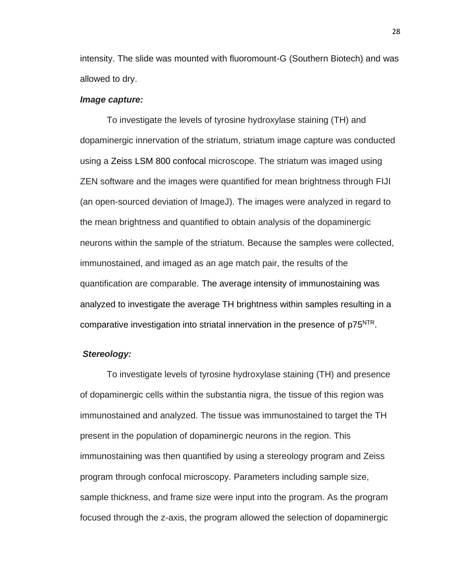intensity. The slide was mounted with fluoromount-G (Southern Biotech) and was allowed to dry.

# *Image capture:*

To investigate the levels of tyrosine hydroxylase staining (TH) and dopaminergic innervation of the striatum, striatum image capture was conducted using a Zeiss LSM 800 confocal microscope. The striatum was imaged using ZEN software and the images were quantified for mean brightness through FIJI (an open-sourced deviation of ImageJ). The images were analyzed in regard to the mean brightness and quantified to obtain analysis of the dopaminergic neurons within the sample of the striatum. Because the samples were collected, immunostained, and imaged as an age match pair, the results of the quantification are comparable. The average intensity of immunostaining was analyzed to investigate the average TH brightness within samples resulting in a comparative investigation into striatal innervation in the presence of p75<sup>NTR</sup>.

# *Stereology:*

To investigate levels of tyrosine hydroxylase staining (TH) and presence of dopaminergic cells within the substantia nigra, the tissue of this region was immunostained and analyzed. The tissue was immunostained to target the TH present in the population of dopaminergic neurons in the region. This immunostaining was then quantified by using a stereology program and Zeiss program through confocal microscopy. Parameters including sample size, sample thickness, and frame size were input into the program. As the program focused through the z-axis, the program allowed the selection of dopaminergic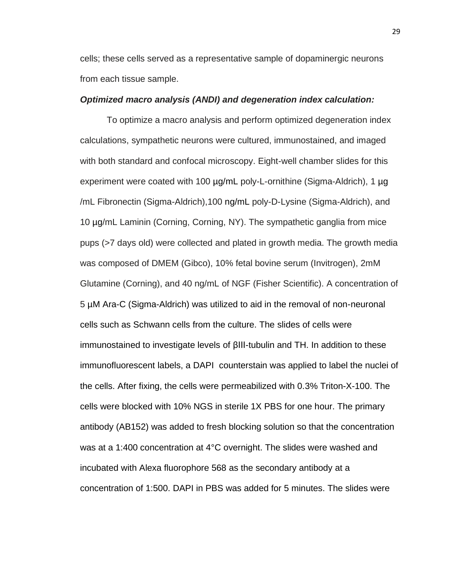cells; these cells served as a representative sample of dopaminergic neurons from each tissue sample.

# *Optimized macro analysis (ANDI) and degeneration index calculation:*

To optimize a macro analysis and perform optimized degeneration index calculations, sympathetic neurons were cultured, immunostained, and imaged with both standard and confocal microscopy. Eight-well chamber slides for this experiment were coated with 100 µg/mL poly-L-ornithine (Sigma-Aldrich), 1 µg /mL Fibronectin (Sigma-Aldrich),100 ng/mL poly-D-Lysine (Sigma-Aldrich), and 10 µg/mL Laminin (Corning, Corning, NY). The sympathetic ganglia from mice pups (>7 days old) were collected and plated in growth media. The growth media was composed of DMEM (Gibco), 10% fetal bovine serum (Invitrogen), 2mM Glutamine (Corning), and 40 ng/mL of NGF (Fisher Scientific). A concentration of 5 µM Ara-C (Sigma-Aldrich) was utilized to aid in the removal of non-neuronal cells such as Schwann cells from the culture. The slides of cells were immunostained to investigate levels of βIII-tubulin and TH. In addition to these immunofluorescent labels, a DAPI counterstain was applied to label the nuclei of the cells. After fixing, the cells were permeabilized with 0.3% Triton-X-100. The cells were blocked with 10% NGS in sterile 1X PBS for one hour. The primary antibody (AB152) was added to fresh blocking solution so that the concentration was at a 1:400 concentration at 4°C overnight. The slides were washed and incubated with Alexa fluorophore 568 as the secondary antibody at a concentration of 1:500. DAPI in PBS was added for 5 minutes. The slides were

29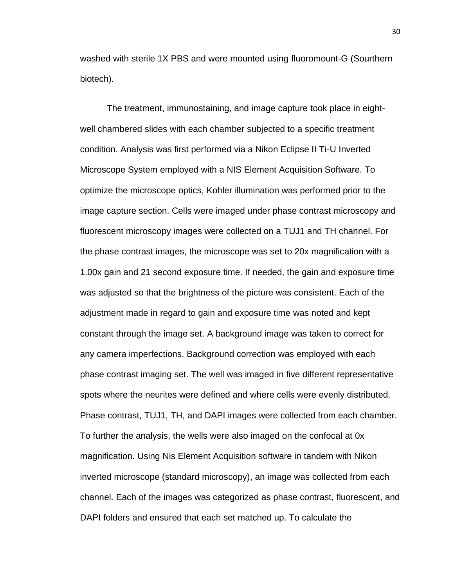washed with sterile 1X PBS and were mounted using fluoromount-G (Sourthern biotech).

The treatment, immunostaining, and image capture took place in eightwell chambered slides with each chamber subjected to a specific treatment condition. Analysis was first performed via a Nikon Eclipse II Ti-U Inverted Microscope System employed with a NIS Element Acquisition Software. To optimize the microscope optics, Kohler illumination was performed prior to the image capture section. Cells were imaged under phase contrast microscopy and fluorescent microscopy images were collected on a TUJ1 and TH channel. For the phase contrast images, the microscope was set to 20x magnification with a 1.00x gain and 21 second exposure time. If needed, the gain and exposure time was adjusted so that the brightness of the picture was consistent. Each of the adjustment made in regard to gain and exposure time was noted and kept constant through the image set. A background image was taken to correct for any camera imperfections. Background correction was employed with each phase contrast imaging set. The well was imaged in five different representative spots where the neurites were defined and where cells were evenly distributed. Phase contrast, TUJ1, TH, and DAPI images were collected from each chamber. To further the analysis, the wells were also imaged on the confocal at 0x magnification. Using Nis Element Acquisition software in tandem with Nikon inverted microscope (standard microscopy), an image was collected from each channel. Each of the images was categorized as phase contrast, fluorescent, and DAPI folders and ensured that each set matched up. To calculate the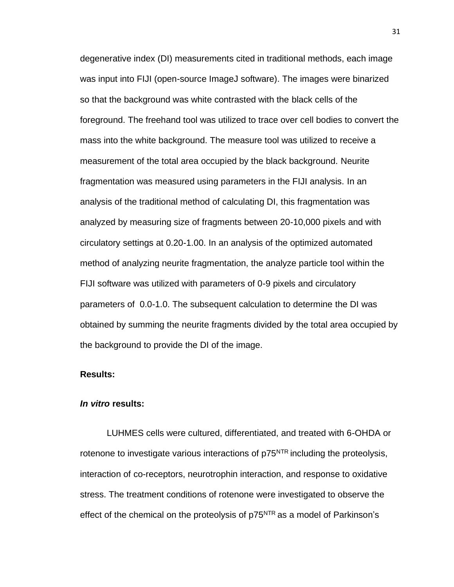degenerative index (DI) measurements cited in traditional methods, each image was input into FIJI (open-source ImageJ software). The images were binarized so that the background was white contrasted with the black cells of the foreground. The freehand tool was utilized to trace over cell bodies to convert the mass into the white background. The measure tool was utilized to receive a measurement of the total area occupied by the black background. Neurite fragmentation was measured using parameters in the FIJI analysis. In an analysis of the traditional method of calculating DI, this fragmentation was analyzed by measuring size of fragments between 20-10,000 pixels and with circulatory settings at 0.20-1.00. In an analysis of the optimized automated method of analyzing neurite fragmentation, the analyze particle tool within the FIJI software was utilized with parameters of 0-9 pixels and circulatory parameters of 0.0-1.0. The subsequent calculation to determine the DI was obtained by summing the neurite fragments divided by the total area occupied by the background to provide the DI of the image.

# <span id="page-42-0"></span>**Results:**

# *In vitro* **results:**

LUHMES cells were cultured, differentiated, and treated with 6-OHDA or rotenone to investigate various interactions of  $p75<sup>NTR</sup>$  including the proteolysis, interaction of co-receptors, neurotrophin interaction, and response to oxidative stress. The treatment conditions of rotenone were investigated to observe the effect of the chemical on the proteolysis of  $p75<sup>NTR</sup>$  as a model of Parkinson's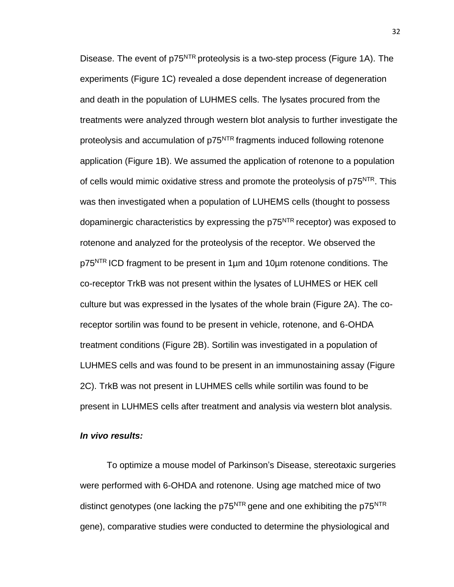Disease. The event of p75<sup>NTR</sup> proteolysis is a two-step process (Figure 1A). The experiments (Figure 1C) revealed a dose dependent increase of degeneration and death in the population of LUHMES cells. The lysates procured from the treatments were analyzed through western blot analysis to further investigate the proteolysis and accumulation of p75<sup>NTR</sup> fragments induced following rotenone application (Figure 1B). We assumed the application of rotenone to a population of cells would mimic oxidative stress and promote the proteolysis of p75<sup>NTR</sup>. This was then investigated when a population of LUHEMS cells (thought to possess dopaminergic characteristics by expressing the p75<sup>NTR</sup> receptor) was exposed to rotenone and analyzed for the proteolysis of the receptor. We observed the p75<sup>NTR</sup> ICD fragment to be present in 1µm and 10µm rotenone conditions. The co-receptor TrkB was not present within the lysates of LUHMES or HEK cell culture but was expressed in the lysates of the whole brain (Figure 2A). The coreceptor sortilin was found to be present in vehicle, rotenone, and 6-OHDA treatment conditions (Figure 2B). Sortilin was investigated in a population of LUHMES cells and was found to be present in an immunostaining assay (Figure 2C). TrkB was not present in LUHMES cells while sortilin was found to be present in LUHMES cells after treatment and analysis via western blot analysis.

### *In vivo results:*

To optimize a mouse model of Parkinson's Disease, stereotaxic surgeries were performed with 6-OHDA and rotenone. Using age matched mice of two distinct genotypes (one lacking the  $p75<sup>NTR</sup>$  gene and one exhibiting the  $p75<sup>NTR</sup>$ gene), comparative studies were conducted to determine the physiological and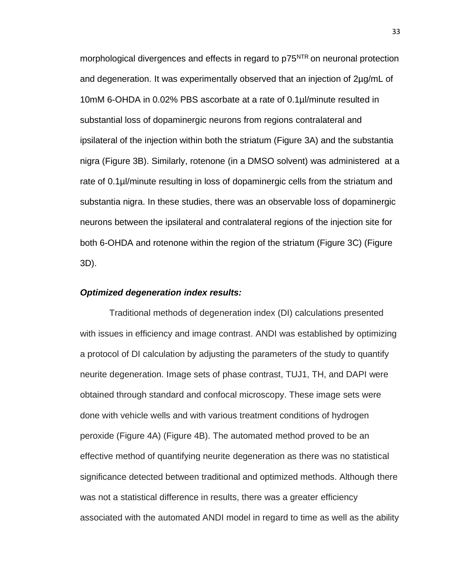morphological divergences and effects in regard to p75<sup>NTR</sup> on neuronal protection and degeneration. It was experimentally observed that an injection of 2µg/mL of 10mM 6-OHDA in 0.02% PBS ascorbate at a rate of 0.1µl/minute resulted in substantial loss of dopaminergic neurons from regions contralateral and ipsilateral of the injection within both the striatum (Figure 3A) and the substantia nigra (Figure 3B). Similarly, rotenone (in a DMSO solvent) was administered at a rate of 0.1µl/minute resulting in loss of dopaminergic cells from the striatum and substantia nigra. In these studies, there was an observable loss of dopaminergic neurons between the ipsilateral and contralateral regions of the injection site for both 6-OHDA and rotenone within the region of the striatum (Figure 3C) (Figure 3D).

# *Optimized degeneration index results:*

Traditional methods of degeneration index (DI) calculations presented with issues in efficiency and image contrast. ANDI was established by optimizing a protocol of DI calculation by adjusting the parameters of the study to quantify neurite degeneration. Image sets of phase contrast, TUJ1, TH, and DAPI were obtained through standard and confocal microscopy. These image sets were done with vehicle wells and with various treatment conditions of hydrogen peroxide (Figure 4A) (Figure 4B). The automated method proved to be an effective method of quantifying neurite degeneration as there was no statistical significance detected between traditional and optimized methods. Although there was not a statistical difference in results, there was a greater efficiency associated with the automated ANDI model in regard to time as well as the ability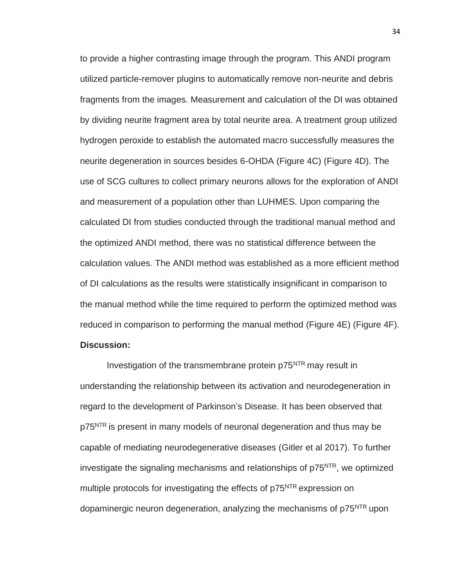to provide a higher contrasting image through the program. This ANDI program utilized particle-remover plugins to automatically remove non-neurite and debris fragments from the images. Measurement and calculation of the DI was obtained by dividing neurite fragment area by total neurite area. A treatment group utilized hydrogen peroxide to establish the automated macro successfully measures the neurite degeneration in sources besides 6-OHDA (Figure 4C) (Figure 4D). The use of SCG cultures to collect primary neurons allows for the exploration of ANDI and measurement of a population other than LUHMES. Upon comparing the calculated DI from studies conducted through the traditional manual method and the optimized ANDI method, there was no statistical difference between the calculation values. The ANDI method was established as a more efficient method of DI calculations as the results were statistically insignificant in comparison to the manual method while the time required to perform the optimized method was reduced in comparison to performing the manual method (Figure 4E) (Figure 4F). **Discussion:**

<span id="page-45-0"></span> Investigation of the transmembrane protein p75NTR may result in understanding the relationship between its activation and neurodegeneration in regard to the development of Parkinson's Disease. It has been observed that p75<sup>NTR</sup> is present in many models of neuronal degeneration and thus may be capable of mediating neurodegenerative diseases (Gitler et al 2017). To further investigate the signaling mechanisms and relationships of  $p75<sup>NTR</sup>$ , we optimized multiple protocols for investigating the effects of p75<sup>NTR</sup> expression on dopaminergic neuron degeneration, analyzing the mechanisms of p75<sup>NTR</sup> upon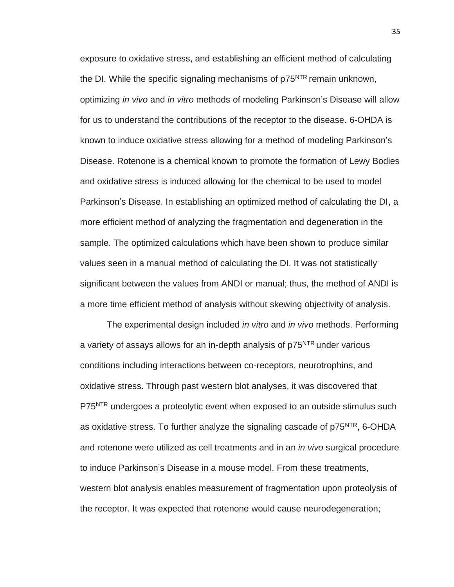exposure to oxidative stress, and establishing an efficient method of calculating the DI. While the specific signaling mechanisms of  $p75<sup>NTR</sup>$  remain unknown, optimizing *in vivo* and *in vitro* methods of modeling Parkinson's Disease will allow for us to understand the contributions of the receptor to the disease. 6-OHDA is known to induce oxidative stress allowing for a method of modeling Parkinson's Disease. Rotenone is a chemical known to promote the formation of Lewy Bodies and oxidative stress is induced allowing for the chemical to be used to model Parkinson's Disease. In establishing an optimized method of calculating the DI, a more efficient method of analyzing the fragmentation and degeneration in the sample. The optimized calculations which have been shown to produce similar values seen in a manual method of calculating the DI. It was not statistically significant between the values from ANDI or manual; thus, the method of ANDI is a more time efficient method of analysis without skewing objectivity of analysis.

 The experimental design included *in vitro* and *in vivo* methods. Performing a variety of assays allows for an in-depth analysis of p75<sup>NTR</sup> under various conditions including interactions between co-receptors, neurotrophins, and oxidative stress. Through past western blot analyses, it was discovered that P75<sup>NTR</sup> undergoes a proteolytic event when exposed to an outside stimulus such as oxidative stress. To further analyze the signaling cascade of p75<sup>NTR</sup>, 6-OHDA and rotenone were utilized as cell treatments and in an *in vivo* surgical procedure to induce Parkinson's Disease in a mouse model. From these treatments, western blot analysis enables measurement of fragmentation upon proteolysis of the receptor. It was expected that rotenone would cause neurodegeneration;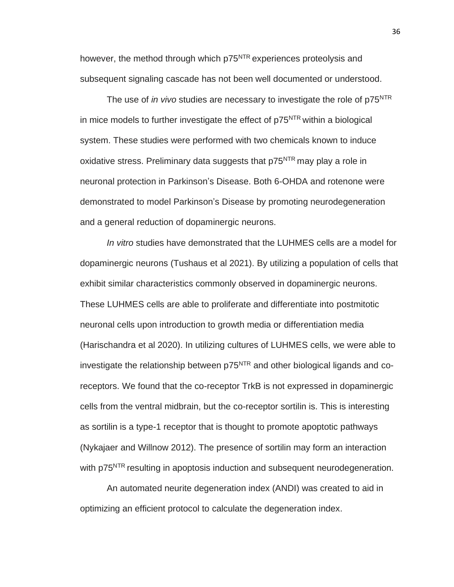however, the method through which p75<sup>NTR</sup> experiences proteolysis and subsequent signaling cascade has not been well documented or understood.

The use of *in vivo* studies are necessary to investigate the role of p75<sup>NTR</sup> in mice models to further investigate the effect of  $p75<sup>NTR</sup>$  within a biological system. These studies were performed with two chemicals known to induce oxidative stress. Preliminary data suggests that  $p75<sup>NTR</sup>$  may play a role in neuronal protection in Parkinson's Disease. Both 6-OHDA and rotenone were demonstrated to model Parkinson's Disease by promoting neurodegeneration and a general reduction of dopaminergic neurons.

*In vitro* studies have demonstrated that the LUHMES cells are a model for dopaminergic neurons (Tushaus et al 2021). By utilizing a population of cells that exhibit similar characteristics commonly observed in dopaminergic neurons. These LUHMES cells are able to proliferate and differentiate into postmitotic neuronal cells upon introduction to growth media or differentiation media (Harischandra et al 2020). In utilizing cultures of LUHMES cells, we were able to investigate the relationship between  $p75<sup>NTR</sup>$  and other biological ligands and coreceptors. We found that the co-receptor TrkB is not expressed in dopaminergic cells from the ventral midbrain, but the co-receptor sortilin is. This is interesting as sortilin is a type-1 receptor that is thought to promote apoptotic pathways (Nykajaer and Willnow 2012). The presence of sortilin may form an interaction with p75<sup>NTR</sup> resulting in apoptosis induction and subsequent neurodegeneration.

 An automated neurite degeneration index (ANDI) was created to aid in optimizing an efficient protocol to calculate the degeneration index.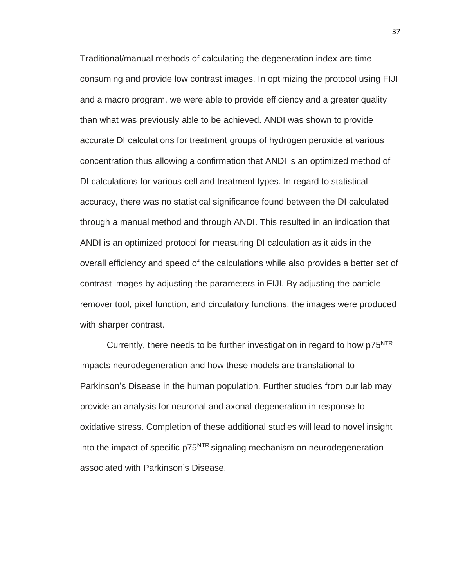Traditional/manual methods of calculating the degeneration index are time consuming and provide low contrast images. In optimizing the protocol using FIJI and a macro program, we were able to provide efficiency and a greater quality than what was previously able to be achieved. ANDI was shown to provide accurate DI calculations for treatment groups of hydrogen peroxide at various concentration thus allowing a confirmation that ANDI is an optimized method of DI calculations for various cell and treatment types. In regard to statistical accuracy, there was no statistical significance found between the DI calculated through a manual method and through ANDI. This resulted in an indication that ANDI is an optimized protocol for measuring DI calculation as it aids in the overall efficiency and speed of the calculations while also provides a better set of contrast images by adjusting the parameters in FIJI. By adjusting the particle remover tool, pixel function, and circulatory functions, the images were produced with sharper contrast.

Currently, there needs to be further investigation in regard to how  $p75<sup>NTR</sup>$ impacts neurodegeneration and how these models are translational to Parkinson's Disease in the human population. Further studies from our lab may provide an analysis for neuronal and axonal degeneration in response to oxidative stress. Completion of these additional studies will lead to novel insight into the impact of specific p75<sup>NTR</sup> signaling mechanism on neurodegeneration associated with Parkinson's Disease.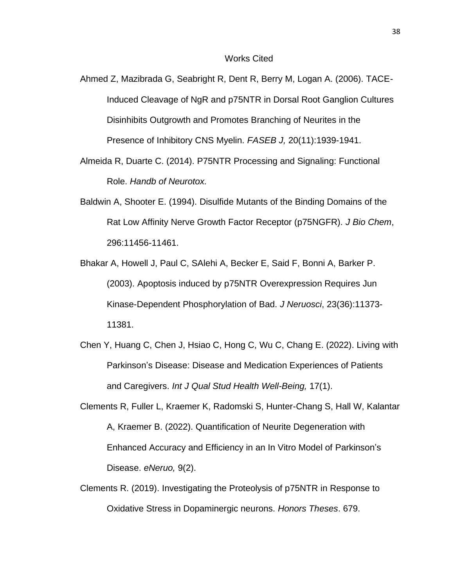#### Works Cited

- Ahmed Z, Mazibrada G, Seabright R, Dent R, Berry M, Logan A. (2006). TACE-Induced Cleavage of NgR and p75NTR in Dorsal Root Ganglion Cultures Disinhibits Outgrowth and Promotes Branching of Neurites in the Presence of Inhibitory CNS Myelin. *FASEB J,* 20(11):1939-1941.
- Almeida R, Duarte C. (2014). P75NTR Processing and Signaling: Functional Role. *Handb of Neurotox.*
- Baldwin A, Shooter E. (1994). Disulfide Mutants of the Binding Domains of the Rat Low Affinity Nerve Growth Factor Receptor (p75NGFR). *J Bio Chem*, 296:11456-11461.
- Bhakar A, Howell J, Paul C, SAlehi A, Becker E, Said F, Bonni A, Barker P. (2003). Apoptosis induced by p75NTR Overexpression Requires Jun Kinase-Dependent Phosphorylation of Bad. *J Neruosci*, 23(36):11373- 11381.
- Chen Y, Huang C, Chen J, Hsiao C, Hong C, Wu C, Chang E. (2022). Living with Parkinson's Disease: Disease and Medication Experiences of Patients and Caregivers. *Int J Qual Stud Health Well-Being,* 17(1).
- Clements R, Fuller L, Kraemer K, Radomski S, Hunter-Chang S, Hall W, Kalantar A, Kraemer B. (2022). Quantification of Neurite Degeneration with Enhanced Accuracy and Efficiency in an In Vitro Model of Parkinson's Disease. *eNeruo,* 9(2).
- Clements R. (2019). Investigating the Proteolysis of p75NTR in Response to Oxidative Stress in Dopaminergic neurons. *Honors Theses*. 679.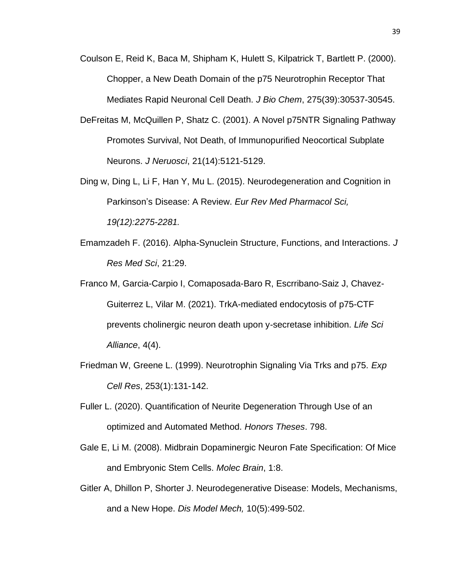- Coulson E, Reid K, Baca M, Shipham K, Hulett S, Kilpatrick T, Bartlett P. (2000). Chopper, a New Death Domain of the p75 Neurotrophin Receptor That Mediates Rapid Neuronal Cell Death. *J Bio Chem*, 275(39):30537-30545.
- DeFreitas M, McQuillen P, Shatz C. (2001). A Novel p75NTR Signaling Pathway Promotes Survival, Not Death, of Immunopurified Neocortical Subplate Neurons. *J Neruosci*, 21(14):5121-5129.
- Ding w, Ding L, Li F, Han Y, Mu L. (2015). Neurodegeneration and Cognition in Parkinson's Disease: A Review. *Eur Rev Med Pharmacol Sci, 19(12):2275-2281.*
- Emamzadeh F. (2016). Alpha-Synuclein Structure, Functions, and Interactions. *J Res Med Sci*, 21:29.
- Franco M, Garcia-Carpio I, Comaposada-Baro R, Escrribano-Saiz J, Chavez-Guiterrez L, Vilar M. (2021). TrkA-mediated endocytosis of p75-CTF prevents cholinergic neuron death upon y-secretase inhibition. *Life Sci Alliance*, 4(4).
- Friedman W, Greene L. (1999). Neurotrophin Signaling Via Trks and p75. *Exp Cell Res*, 253(1):131-142.
- Fuller L. (2020). Quantification of Neurite Degeneration Through Use of an optimized and Automated Method. *Honors Theses*. 798.
- Gale E, Li M. (2008). Midbrain Dopaminergic Neuron Fate Specification: Of Mice and Embryonic Stem Cells. *Molec Brain*, 1:8.
- Gitler A, Dhillon P, Shorter J. Neurodegenerative Disease: Models, Mechanisms, and a New Hope. *Dis Model Mech,* 10(5):499-502.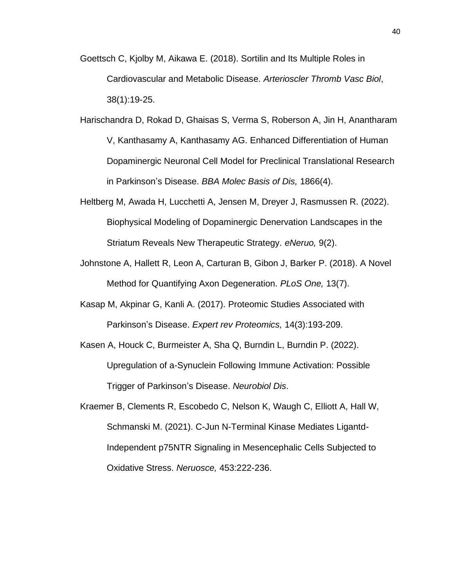- Goettsch C, Kjolby M, Aikawa E. (2018). Sortilin and Its Multiple Roles in Cardiovascular and Metabolic Disease. *Arterioscler Thromb Vasc Biol*, 38(1):19-25.
- Harischandra D, Rokad D, Ghaisas S, Verma S, Roberson A, Jin H, Anantharam V, Kanthasamy A, Kanthasamy AG. Enhanced Differentiation of Human Dopaminergic Neuronal Cell Model for Preclinical Translational Research in Parkinson's Disease. *BBA Molec Basis of Dis,* 1866(4).
- Heltberg M, Awada H, Lucchetti A, Jensen M, Dreyer J, Rasmussen R. (2022). Biophysical Modeling of Dopaminergic Denervation Landscapes in the Striatum Reveals New Therapeutic Strategy. *eNeruo,* 9(2).
- Johnstone A, Hallett R, Leon A, Carturan B, Gibon J, Barker P. (2018). A Novel Method for Quantifying Axon Degeneration. *PLoS One,* 13(7).
- Kasap M, Akpinar G, Kanli A. (2017). Proteomic Studies Associated with Parkinson's Disease. *Expert rev Proteomics,* 14(3):193-209.
- Kasen A, Houck C, Burmeister A, Sha Q, Burndin L, Burndin P. (2022). Upregulation of a-Synuclein Following Immune Activation: Possible Trigger of Parkinson's Disease. *Neurobiol Dis*.
- Kraemer B, Clements R, Escobedo C, Nelson K, Waugh C, Elliott A, Hall W, Schmanski M. (2021). C-Jun N-Terminal Kinase Mediates Ligantd-Independent p75NTR Signaling in Mesencephalic Cells Subjected to Oxidative Stress. *Neruosce,* 453:222-236.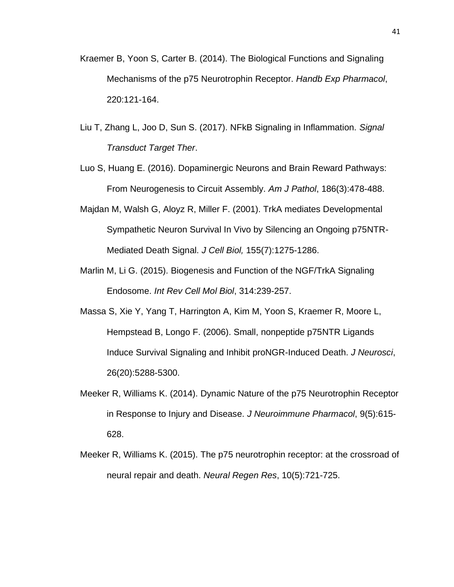- Kraemer B, Yoon S, Carter B. (2014). The Biological Functions and Signaling Mechanisms of the p75 Neurotrophin Receptor. *Handb Exp Pharmacol*, 220:121-164.
- Liu T, Zhang L, Joo D, Sun S. (2017). NFkB Signaling in Inflammation. *Signal Transduct Target Ther*.
- Luo S, Huang E. (2016). Dopaminergic Neurons and Brain Reward Pathways: From Neurogenesis to Circuit Assembly. *Am J Pathol*, 186(3):478-488.
- Majdan M, Walsh G, Aloyz R, Miller F. (2001). TrkA mediates Developmental Sympathetic Neuron Survival In Vivo by Silencing an Ongoing p75NTR-Mediated Death Signal. *J Cell Biol,* 155(7):1275-1286.
- Marlin M, Li G. (2015). Biogenesis and Function of the NGF/TrkA Signaling Endosome. *Int Rev Cell Mol Biol*, 314:239-257.
- Massa S, Xie Y, Yang T, Harrington A, Kim M, Yoon S, Kraemer R, Moore L, Hempstead B, Longo F. (2006). Small, nonpeptide p75NTR Ligands Induce Survival Signaling and Inhibit proNGR-Induced Death. *J Neurosci*, 26(20):5288-5300.
- Meeker R, Williams K. (2014). Dynamic Nature of the p75 Neurotrophin Receptor in Response to Injury and Disease. *J Neuroimmune Pharmacol*, 9(5):615- 628.
- Meeker R, Williams K. (2015). The p75 neurotrophin receptor: at the crossroad of neural repair and death. *Neural Regen Res*, 10(5):721-725.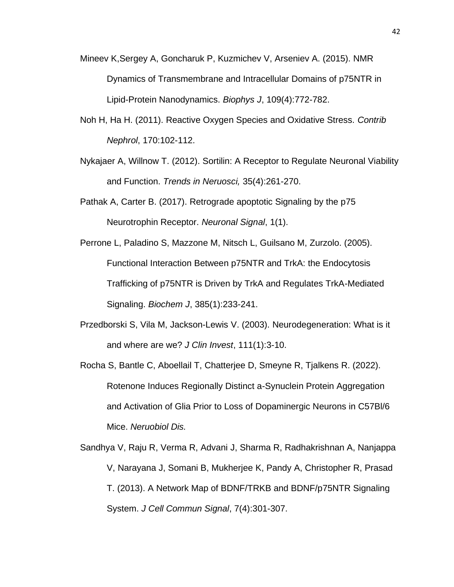- Mineev K,Sergey A, Goncharuk P, Kuzmichev V, Arseniev A. (2015). NMR Dynamics of Transmembrane and Intracellular Domains of p75NTR in Lipid-Protein Nanodynamics. *Biophys J*, 109(4):772-782.
- Noh H, Ha H. (2011). Reactive Oxygen Species and Oxidative Stress. *Contrib Nephrol*, 170:102-112.
- Nykajaer A, Willnow T. (2012). Sortilin: A Receptor to Regulate Neuronal Viability and Function. *Trends in Neruosci,* 35(4):261-270.
- Pathak A, Carter B. (2017). Retrograde apoptotic Signaling by the p75 Neurotrophin Receptor. *Neuronal Signal*, 1(1).
- Perrone L, Paladino S, Mazzone M, Nitsch L, Guilsano M, Zurzolo. (2005). Functional Interaction Between p75NTR and TrkA: the Endocytosis Trafficking of p75NTR is Driven by TrkA and Regulates TrkA-Mediated Signaling. *Biochem J*, 385(1):233-241.
- Przedborski S, Vila M, Jackson-Lewis V. (2003). Neurodegeneration: What is it and where are we? *J Clin Invest*, 111(1):3-10.
- Rocha S, Bantle C, Aboellail T, Chatterjee D, Smeyne R, Tjalkens R. (2022). Rotenone Induces Regionally Distinct a-Synuclein Protein Aggregation and Activation of Glia Prior to Loss of Dopaminergic Neurons in C57Bl/6 Mice. *Neruobiol Dis.*
- Sandhya V, Raju R, Verma R, Advani J, Sharma R, Radhakrishnan A, Nanjappa V, Narayana J, Somani B, Mukherjee K, Pandy A, Christopher R, Prasad T. (2013). A Network Map of BDNF/TRKB and BDNF/p75NTR Signaling System. *J Cell Commun Signal*, 7(4):301-307.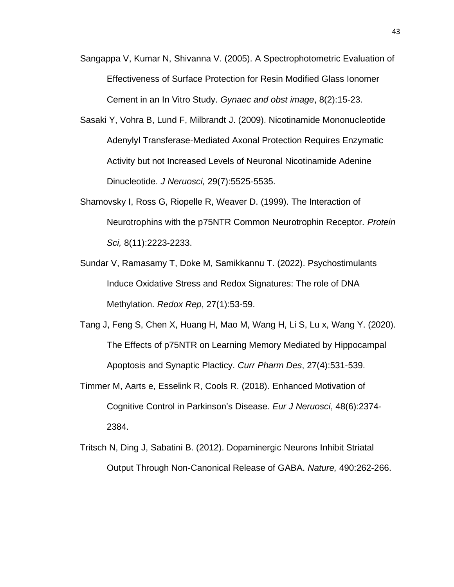- Sangappa V, Kumar N, Shivanna V. (2005). A Spectrophotometric Evaluation of Effectiveness of Surface Protection for Resin Modified Glass Ionomer Cement in an In Vitro Study. *Gynaec and obst image*, 8(2):15-23.
- Sasaki Y, Vohra B, Lund F, Milbrandt J. (2009). Nicotinamide Mononucleotide Adenylyl Transferase-Mediated Axonal Protection Requires Enzymatic Activity but not Increased Levels of Neuronal Nicotinamide Adenine Dinucleotide. *J Neruosci,* 29(7):5525-5535.
- Shamovsky I, Ross G, Riopelle R, Weaver D. (1999). The Interaction of Neurotrophins with the p75NTR Common Neurotrophin Receptor. *Protein Sci,* 8(11):2223-2233.
- Sundar V, Ramasamy T, Doke M, Samikkannu T. (2022). Psychostimulants Induce Oxidative Stress and Redox Signatures: The role of DNA Methylation. *Redox Rep*, 27(1):53-59.
- Tang J, Feng S, Chen X, Huang H, Mao M, Wang H, Li S, Lu x, Wang Y. (2020). The Effects of p75NTR on Learning Memory Mediated by Hippocampal Apoptosis and Synaptic Placticy. *Curr Pharm Des*, 27(4):531-539.
- Timmer M, Aarts e, Esselink R, Cools R. (2018). Enhanced Motivation of Cognitive Control in Parkinson's Disease. *Eur J Neruosci*, 48(6):2374- 2384.
- Tritsch N, Ding J, Sabatini B. (2012). Dopaminergic Neurons Inhibit Striatal Output Through Non-Canonical Release of GABA. *Nature,* 490:262-266.